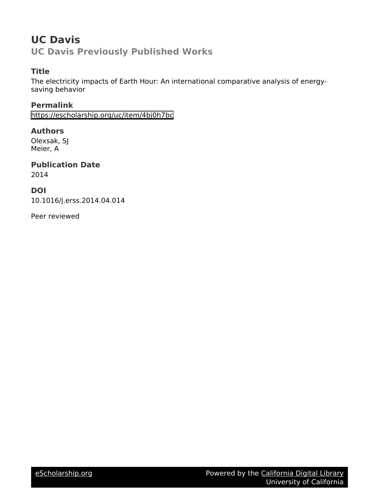## **UC Davis UC Davis Previously Published Works**

## **Title**

The electricity impacts of Earth Hour: An international comparative analysis of energysaving behavior

## **Permalink**

<https://escholarship.org/uc/item/4bj0h7bc>

## **Authors**

Olexsak, SJ Meier, A

# **Publication Date**

2014

## **DOI**

10.1016/j.erss.2014.04.014

Peer reviewed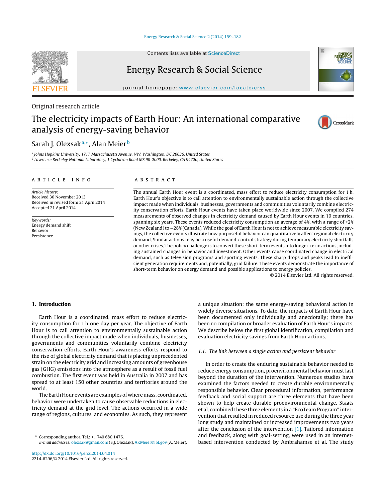#### Energy [Research](dx.doi.org/10.1016/j.erss.2014.04.014) & Social Science 2 (2014) 159–182

Contents lists available at [ScienceDirect](http://www.sciencedirect.com/science/journal/00000000)

# $E_{\rm g}$

journal homepage: [www.elsevier.com/locate/erss](http://www.elsevier.com/locate/erss)

#### Original research article

## The electricity impacts of Earth Hour: An international comparative analysis of energy-saving behavior

### Sarah I. Olexsak<sup>a,∗</sup>, Alan Meier<sup>b</sup>

<sup>a</sup> Johns Hopkins University, 1717 Massachusetts Avenue, NW, Washington, DC 20036, United States <sup>b</sup> Lawrence Berkeley National Laboratory, 1 Cyclotron Road MS 90-2000, Berkeley, CA 94720, United States

#### a r t i c l e i n f o

Article history: Received 30 November 2013 Received in revised form 21 April 2014 Accepted 21 April 2014

Keywords: Energy demand shift Behavior Persistence

#### A B S T R A C T

The annual Earth Hour event is a coordinated, mass effort to reduce electricity consumption for 1 h. Earth Hour's objective is to call attention to environmentally sustainable action through the collective impact made when individuals, businesses, governments and communities voluntarily combine electricity conservation efforts. Earth Hour events have taken place worldwide since 2007. We compiled 274 measurements of observed changes in electricity demand caused by Earth Hour events in 10 countries, spanning six years. These events reduced electricity consumption an average of 4%, with a range of +2% (New Zealand) to -28% (Canada). While the goal of Earth Hour is not to achieve measurable electricity savings, the collective events illustrate how purposeful behavior can quantitatively affect regional electricity demand. Similar actions may be a useful demand-control strategy during temporary electricity shortfalls or other crises. The policy challenge is to convert these short-term events into longer-term actions, including sustained changes in behavior and investment. Other events cause coordinated change in electrical demand, such as television programs and sporting events. These sharp drops and peaks lead to inefficient generation requirements and, potentially, grid failure. These events demonstrate the importance of short-term behavior on energy demand and possible applications to energy policies.

© 2014 Elsevier Ltd. All rights reserved.

#### **1. Introduction**

Earth Hour is a coordinated, mass effort to reduce electricity consumption for 1 h one day per year. The objective of Earth Hour is to call attention to environmentally sustainable action through the collective impact made when individuals, businesses, governments and communities voluntarily combine electricity conservation efforts. Earth Hour's awareness efforts respond to the rise of global electricity demand that is placing unprecedented strain on the electricity grid and increasing amounts of greenhouse gas (GHG) emissions into the atmosphere as a result of fossil fuel combustion. The first event was held in Australia in 2007 and has spread to at least 150 other countries and territories around the world.

The Earth Hour events are examples of where mass, coordinated, behavior were undertaken to cause observable reductions in electricity demand at the grid level. The actions occurred in a wide range of regions, cultures, and economies. As such, they represent

[http://dx.doi.org/10.1016/j.erss.2014.04.014](dx.doi.org/10.1016/j.erss.2014.04.014) 2214-6296/© 2014 Elsevier Ltd. All rights reserved. a unique situation: the same energy-saving behavioral action in widely diverse situations. To date, the impacts of Earth Hour have been documented only individually and anecdotally; there has been no compilation or broader evaluation of Earth Hour's impacts. We describe below the first global identification, compilation and evaluation electricity savings from Earth Hour actions.

#### 1.1. The link between a single action and persistent behavior

In order to create the enduring sustainable behavior needed to reduce energy consumption, proenvironmental behavior must last beyond the duration of the intervention. Numerous studies have examined the factors needed to create durable environmentally responsible behavior. Clear procedural information, performance feedback and social support are three elements that have been shown to help create durable proenvironmental change. Staats et al. combined these three elements in a "EcoTeam Program" intervention that resulted in reduced resource use during the three year long study and maintained or increased improvements two years after the conclusion of the intervention [\[1\].](#page-24-0) Tailored information and feedback, along with goal-setting, were used in an internetbased intervention conducted by Ambrahamse et al. The study









<sup>∗</sup> Corresponding author. Tel.: +1 740 680 1476. E-mail addresses: [olexsak@gmail.com](mailto:olexsak@gmail.com) (S.J. Olexsak), [AKMeier@lbl.gov](mailto:AKMeier@lbl.gov) (A. Meier).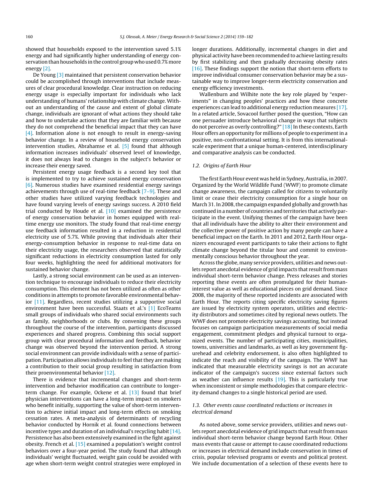showed that households exposed to the intervention saved 5.1% energy and had significantly higher understanding of energy conservation than households in the control group who used 0.7% more energy [\[2\].](#page-24-0)

De Young [\[3\]](#page-24-0) maintained that persistent conservation behavior could be accomplished through interventions that include measures of clear procedural knowledge. Clear instruction on reducing energy usage is especially important for individuals who lack understanding of humans' relationship with climate change. Without an understanding of the cause and extent of global climate change, individuals are ignorant of what actions they should take and how to undertake actions that they are familiar with because they do not comprehend the beneficial impact that they can have [\[4\].](#page-24-0) Information alone is not enough to result in energy-saving behavior change. In a review of household energy conservation intervention studies, Abrahamse et al. [\[5\]](#page-24-0) found that although information increases individuals' observed level of knowledge, it does not always lead to changes in the subject's behavior or increase their energy saved.

Persistent energy usage feedback is a second key tool that is implemented to try to achieve sustained energy conservation [\[6\].](#page-24-0) Numerous studies have examined residential energy savings achievements through use of real-time feedback  $[7-9]$ . These and other studies have utilized varying feedback technologies and have found varying levels of energy savings success. A 2010 field trial conducted by Houde et al. [\[10\]](#page-24-0) examined the persistence of energy conservation behavior in homes equipped with realtime energy use monitors. The study found that real-time energy use feedback information resulted in a reduction in residential electricity use of 5.7%. While proving that individuals alter their energy-consumption behavior in response to real-time data on their electricity usage, the researchers observed that statistically significant reductions in electricity consumption lasted for only four weeks, highlighting the need for additional motivators for sustained behavior change.

Lastly, a strong social environment can be used as an intervention technique to encourage individuals to reduce their electricity consumption. This element has not been utilized as often as other conditions in attempts to promote favorable environmental behavior [\[11\].](#page-24-0) Regardless, recent studies utilizing a supportive social environment have been successful. Staats et al.'s [\[1\]](#page-24-0) EcoTeams small groups of individuals who shared social environments such as family, neighborhoods or clubs. By convening these groups throughout the course of the intervention, participants discussed experiences and shared progress. Combining this social support group with clear procedural information and feedback, behavior change was observed beyond the intervention period. A strong social environment can provide individuals with a sense of participation. Participation allows individuals to feel that they are making a contribution to their social group resulting in satisfaction from their proenvironmental behavior [\[12\].](#page-24-0)

There is evidence that incremental changes and short-term intervention and behavior modification can contribute to longerterm change. For example, Ockene et al. [\[13\]](#page-24-0) found that brief physician interventions can have a long-term impact on smokers who benefit initially, supporting the value of short-term intervention to achieve initial impact and long-term effects on smoking cessation rates. A meta-analysis of determinants of recycling behavior conducted by Hornik et al. found connections between incentive types and duration of an individual's recycling habit [\[14\].](#page-24-0) Persistence has also been extensively examined in the fight against obesity. French et al. [\[15\]](#page-24-0) examined a population's weight control behaviors over a four-year period. The study found that although individuals' weight fluctuated, weight gain could be avoided with age when short-term weight control strategies were employed in longer durations. Additionally, incremental changes in diet and physical activity have been recommended to achieve lasting results by first stabilizing and then gradually decreasing obesity rates [\[16\].](#page-24-0) These findings support the notion that short-term efforts to improve individual consumer conservation behavior may be a sustainable way to improve longer-term electricity conservation and energy efficiency investments.

Wallenburn and Wilhite note the key role played by "experiments" in changing peoples' practices and how these concrete experiences can lead to additional energy reduction measures [\[17\].](#page-24-0) In a related article, Sovacool further posed the question, "How can one persuader introduce behavioral change in ways that subjects do not perceive as overly controlling?" [\[18\]](#page-24-0) In these contexts, Earth Hour offers an opportunity for millions of people to experiment in a positive, non-confrontational setting. It is from this internationalscale experiment that a unique human-centered, interdisciplinary and comparative analysis can be conducted.

#### 1.2. Origins of Earth Hour

The first Earth Hour event was held in Sydney, Australia, in 2007. Organized by the World Wildlife Fund (WWF) to promote climate change awareness, the campaign called for citizens to voluntarily limit or cease their electricity consumption for a single hour on March 31. In 2008, the campaign expanded globally and growth has continued in a number of countries and territories that actively participate in the event. Unifying themes of the campaign have been that all individuals have the ability to alter their environment and the collective power of positive action by many people can have a beneficial impact on the Earth. In 2011 and 2012, Earth Hour organizers encouraged event participants to take their actions to fight climate change beyond the titular hour and commit to environmentally conscious behavior throughout the year.

Across the globe, many service providers, utilities and news outlets report anecdotal evidence of grid impacts that result from mass individual short-term behavior change. Press releases and stories reporting these events are often promulgated for their humaninterest value as well as educational pieces on grid demand. Since 2008, the majority of these reported incidents are associated with Earth Hour. The reports citing specific electricity saving figures are issued by electricity system operators, utilities and electricity distributors and sometimes cited by regional news outlets. The WWF does not promote electricity savings accounting, but instead focuses on campaign participation measurements of social media engagement, commitment pledges and physical turnout to organized events. The number of participating cities, municipalities, towns, universities and landmarks, as well as key government figurehead and celebrity endorsement, is also often highlighted to indicate the reach and visibility of the campaign. The WWF has indicated that measurable electricity savings is not an accurate indicator of the campaign's success since external factors such as weather can influence results  $[19]$ . This is particularly true when inconsistent or simple methodologies that compare electricity demand changes to a single historical period are used.

#### 1.3. Other events cause coordinated reductions or increases in electrical demand

As noted above, some service providers, utilities and news outlets report anecdotal evidence of grid impacts that result from mass individual short-term behavior change beyond Earth Hour. Other mass events that cause or attempt to cause coordinated reductions or increases in electrical demand include conservation in times of crisis, popular televised programs or events and political protest. We include documentation of a selection of these events here to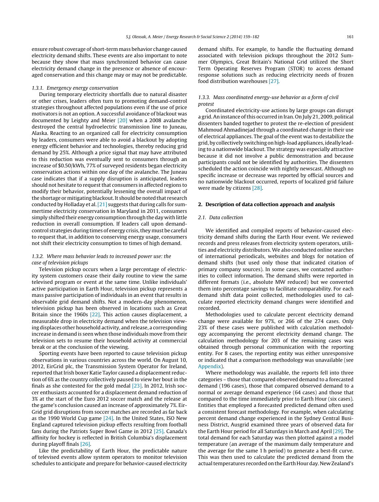ensure robust coverage of short-term mass behavior change caused electricity demand shifts. These events are also important to note because they show that mass synchronized behavior can cause electricity demand change in the presence or absence of encouraged conservation and this change may or may not be predictable.

#### 1.3.1. Emergency energy conservation

During temporary electricity shortfalls due to natural disaster or other crises, leaders often turn to promoting demand-control strategies throughout affected populations even if the use of price motivators is not an option. A successful avoidance of blackout was documented by Leighty and Meier [\[20\]](#page-24-0) when a 2008 avalanche destroyed the central hydroelectric transmission line to Juneau, Alaska. Reacting to an organized call for electricity consumption by leaders, consumers were able to avoid a blackout by adopting energy efficient behavior and technologies, thereby reducing grid demand by 25%. Although a price signal that may have attributed to this reduction was eventually sent to consumers through an increase of \$0.50/kWh, 77% of surveyed residents began electricity conservation actions within one day of the avalanche. The Juneau case indicates that if a supply disruption is anticipated, leaders should not hesitate to request that consumers in affected regions to modify their behavior, potentially lessening the overall impact of the shortage or mitigating blackout. It should be noted that research conducted by Holladay et al.[\[21\]](#page-24-0) suggests that during calls for summertime electricity conservation in Maryland in 2011, consumers simply shifted their energy consumption through the day with little reduction in overall consumption. If leaders call upon demandcontrol strategies during times of energy crisis, they must be careful to request that, in addition to conserving energy usage, consumers not shift their electricity consumption to times of high demand.

#### 1.3.2. Where mass behavior leads to increased power use: the case of television pickups

Television pickup occurs when a large percentage of electricity system customers cease their daily routine to view the same televised program or event at the same time. Unlike individuals' active participation in Earth Hour, television pickup represents a mass passive participation of individuals in an event that results in observable grid demand shifts. Not a modern-day phenomenon, television pickup has been observed in locations such as Great Britain since the 1960s [\[22\].](#page-24-0) This action causes displacement, a measurable drop in electricity demand when the television viewing displaces other household activity, and release, a corresponding increase in demand is seen when those individuals move from their television sets to resume their household activity at commercial break or at the conclusion of the viewing.

Sporting events have been reported to cause television pickup observations in various countries across the world. On August 10, 2012, EirGrid plc, the Transmission System Operator for Ireland, reported that Irish boxer Katie Taylor caused a displacement reduction of 6% as the country collectively paused to view her bout in the finals as she contested for the gold medal  $[23]$ . In 2012, Irish soccer enthusiasts accounted for a displacement demand reduction of 3% at the start of the Euro 2012 soccer match and the release at the game's conclusion caused an increase of approximately 7%. Eir-Grid grid disruptions from soccer matches are recorded as far back as the 1990 World Cup game [\[24\].](#page-24-0) In the United States, ISO New England captured television pickup effects resulting from football fans during the Patriots Super Bowl Game in 2012 [\[25\].](#page-24-0) Canada's affinity for hockey is reflected in British Columbia's displacement during playoff finals [\[26\].](#page-24-0)

Like the predictability of Earth Hour, the predictable nature of televised events allow system operators to monitor television schedules to anticipate and prepare for behavior-caused electricity demand shifts. For example, to handle the fluctuating demand associated with television pickups throughout the 2012 Summer Olympics, Great Britain's National Grid utilized the Short Term Operating Reserves Program (STOR) to access demand response solutions such as reducing electricity needs of frozen food distribution warehouses [\[27\].](#page-24-0)

#### 1.3.3. Mass coordinated energy-use behavior as a form of civil protest

Coordinated electricity-use actions by large groups can disrupt a grid. An instance of this occurred in Iran. On July 21, 2009, political dissenters banded together to protest the re-election of president Mahmoud Ahmadinejad through a coordinated change in their use of electrical appliances. The goal of the event was to destabilize the grid,by collectively switching onhigh-loadappliances,ideally leading to a nationwide blackout. The strategy was especially attractive because it did not involve a public demonstration and because participants could not be identified by authorities. The dissenters scheduled the action coincide with nightly newscast. Although no specific increase or decrease was reported by official sources and no nationwide blackout occurred, reports of localized grid failure were made by citizens [\[28\].](#page-24-0)

#### **2. Description of data collection approach and analysis**

#### 2.1. Data collection

We identified and compiled reports of behavior-caused electricity demand shifts during the Earth Hour event. We reviewed records and press releases from electricity system operators, utilities and electricity distributors. We also conducted online searches of international periodicals, websites and blogs for notation of demand shifts (but used only those that indicated citation of primary company sources). In some cases, we contacted authorities to collect information. The demand shifts were reported in different formats (i.e., absolute MW reduced) but we converted them into percentage savings to facilitate comparability. For each demand shift data point collected, methodologies used to calculate reported electricity demand changes were identified and recorded.

Methodologies used to calculate percent electricity demand change were available for 97%, or 266 of the 274 cases. Only 23% of these cases were published with calculation methodology accompanying the percent electricity demand change. The calculation methodology for 203 of the remaining cases was obtained through personal communication with the reporting entity. For 8 cases, the reporting entity was either unresponsive or indicated that a comparison methodology was unavailable (see [Appendix\).](#page-6-0)

Where methodology was available, the reports fell into three categories – those that compared observed demand to a forecasted demand (196 cases), those that compared observed demand to a normal or average demand experience (64 cases) and those that compared to the time immediately prior to Earth Hour (six cases). Entities that employed a forecasted predicted demand often used a consistent forecast methodology. For example, when calculating percent demand change experienced in the Sydney Central Business District, Ausgrid examined three years of observed data for the Earth Hour period for all Saturdays in March and April [\[29\].](#page-24-0) The total demand for each Saturday was then plotted against a model temperature (an average of the maximum daily temperature and the average for the same 1 h period) to generate a best-fit curve. This was then used to calculate the predicted demand from the actual temperatures recorded on the Earth Hour day. New Zealand's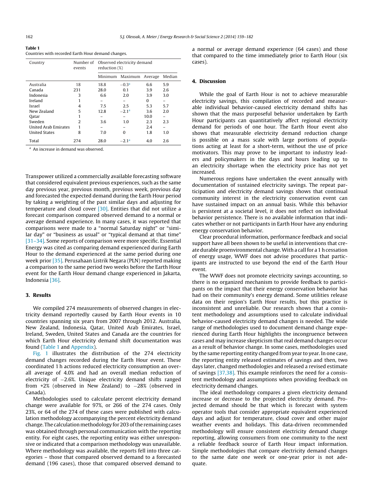| í<br>$\sim$<br>. . |  |
|--------------------|--|
|--------------------|--|

| Countries with recorded Earth Hour demand changes. |  |  |  |
|----------------------------------------------------|--|--|--|
|                                                    |  |  |  |

| Country              | Number of<br>events |         | Observed electricity demand<br>reduction (%) |          |        |
|----------------------|---------------------|---------|----------------------------------------------|----------|--------|
|                      |                     | Minimum | Maximum                                      | Average  | Median |
| Australia            | 18                  | 18.8    | $-0.3a$                                      | 6.6      | 5.9    |
| Canada               | 231                 | 28.0    | 0.1                                          | 3.9      | 2.6    |
| Indonesia            | 3                   | 6.6     | 2.0                                          | 3.9      | 3.0    |
| Ireland              |                     |         |                                              | $\Omega$ |        |
| Israel               | 4                   | 7.5     | 2.5                                          | 5.3      | 5.7    |
| New Zealand          | 5                   | 12.8    | $-2.1a$                                      | 3.6      | 2.0    |
| Oatar                |                     |         |                                              | 10.0     |        |
| Sweden               | 2                   | 3.6     | 1.0                                          | 2.3      | 2.3    |
| United Arab Emirates |                     |         |                                              | 2.4      |        |
| <b>United States</b> | 8                   | 7.0     | 0                                            | 1.8      | 1.0    |
| Total                | 274                 | 28.0    | $-2.1a$                                      | 4.0      | 2.6    |

<sup>a</sup> An increase in demand was observed.

Transpower utilized a commercially available forecasting software that considered equivalent previous experiences, such as the same day previous year, previous month, previous week, previous day and forecasted the expected demand during the Earth Hour period by taking a weighting of the past similar days and adjusting for temperature and cloud cover [\[30\].](#page-24-0) Entities that did not utilize a forecast comparison compared observed demand to a normal or average demand experience. In many cases, it was reported that comparisons were made to a "normal Saturday night" or "similar day" or "business as usual" or "typical demand at that time" [\[31–34\].](#page-24-0) Some reports of comparison were more specific. Essential Energy was cited as comparing demand experienced during Earth Hour to the demand experienced at the same period during one week prior [\[35\].](#page-24-0) Perusahaan Listrik Negara (PLN) reported making a comparison to the same period two weeks before the Earth Hour event for the Earth Hour demand change experienced in Jakarta, Indonesia [\[36\].](#page-24-0)

#### **3. Results**

We compiled 274 measurements of observed changes in electricity demand reportedly caused by Earth Hour events in 10 countries spanning six years from 2007 through 2012. Australia, New Zealand, Indonesia, Qatar, United Arab Emirates, Israel, Ireland, Sweden, United States and Canada are the countries for which Earth Hour electricity demand shift documentation was found (Table 1 and [Appendix\).](#page-6-0)

[Fig.](#page-5-0) 1 illustrates the distribution of the 274 electricity demand changes recorded during the Earth Hour event. These coordinated 1 h actions reduced electricity consumption an overall average of 4.0% and had an overall median reduction of electricity of −2.6%. Unique electricity demand shifts ranged from +2% (observed in New Zealand) to −28% (observed in Canada).

Methodologies used to calculate percent electricity demand change were available for 97%, or 266 of the 274 cases. Only 23%, or 64 of the 274 of these cases were published with calculation methodology accompanying the percent electricity demand change. The calculation methodology for 203 of the remaining cases was obtained through personal communication with the reporting entity. For eight cases, the reporting entity was either unresponsive or indicated that a comparison methodology was unavailable. Where methodology was available, the reports fell into three categories – those that compared observed demand to a forecasted demand (196 cases), those that compared observed demand to a normal or average demand experience (64 cases) and those that compared to the time immediately prior to Earth Hour (six cases).

#### **4. Discussion**

While the goal of Earth Hour is not to achieve measurable electricity savings, this compilation of recorded and measurable individual behavior-caused electricity demand shifts has shown that the mass purposeful behavior undertaken by Earth Hour participants can quantitatively affect regional electricity demand for periods of one hour. The Earth Hour event also shows that measurable electricity demand reduction change is possible on a mass scale with large portions of populations acting at least for a short-term, without the use of price motivators. This may prove to be important to industry leaders and policymakers in the days and hours leading up to an electricity shortage when the electricity price has not yet increased.

Numerous regions have undertaken the event annually with documentation of sustained electricity savings. The repeat participation and electricity demand savings shows that continual community interest in the electricity conservation event can have sustained impact on an annual basis. While this behavior is persistent at a societal level, it does not reflect on individual behavior persistence. There is no available information that indicates whether or not participants in Earth Hour have any enduring energy conservation behavior.

Clear procedural information, performance feedback and social support have all been shown to be useful in interventions that create durable proenvironmental change. With a call for a 1 h cessation of energy usage, WWF does not advise procedures that participants are instructed to use beyond the end of the Earth Hour event.

The WWF does not promote electricity savings accounting, so there is no organized mechanism to provide feedback to participants on the impact that their energy conservation behavior has had on their community's energy demand. Some utilities release data on their region's Earth Hour results, but this practice is inconsistent and unreliable. Our research shows that a consistent methodology and assumptions used to calculate individual behavior-caused electricity demand changes is needed. The wide range of methodologies used to document demand change experienced during Earth Hour highlights the incongruence between cases and may increase skepticism that real demand changes occur as a result of behavior change. In some cases, methodologies used by the same reporting entity changed from year to year. In one case, the reporting entity released estimates of savings and then, two days later, changed methodologies and released a revised estimate of savings [\[37,38\].](#page-24-0) This example reinforces the need for a consistent methodology and assumptions when providing feedback on electricity demand changes.

The ideal methodology compares a given electricity demand increase or decrease to the projected electricity demand. Projected demand should be that which is forecast with system operator tools that consider appropriate equivalent experienced days and adjust for temperature, cloud cover and other major weather events and holidays. This data-driven recommended methodology will ensure consistent electricity demand change reporting, allowing consumers from one community to the next a reliable feedback source of Earth Hour impact information. Simple methodologies that compare electricity demand changes to the same date one week or one-year prior is not adequate.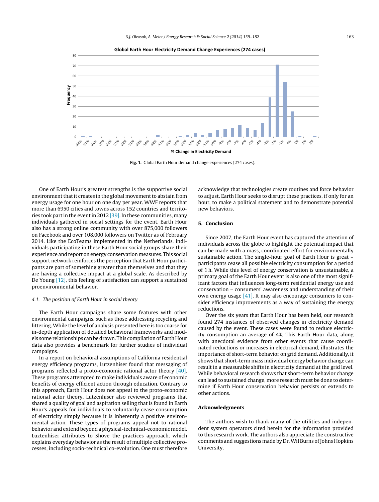<span id="page-5-0"></span>

**Fig. 1.** Global Earth Hour demand change experiences (274 cases).

One of Earth Hour's greatest strengths is the supportive social environment that it creates in the global movement to abstain from energy usage for one hour on one day per year. WWF reports that more than 6950 cities and towns across 152 countries and territories took part in the event in 2012  $[39]$ . In these communities, many individuals gathered in social settings for the event. Earth Hour also has a strong online community with over 875,000 followers on Facebook and over 108,000 followers on Twitter as of February 2014. Like the EcoTeams implemented in the Netherlands, individuals participating in these Earth Hour social groups share their experience and report onenergy conservationmeasures. This social support network reinforces the perception that Earth Hour participants are part of something greater than themselves and that they are having a collective impact at a global scale. As described by De Young [\[12\],](#page-24-0) this feeling of satisfaction can support a sustained proenvironmental behavior.

#### 4.1. The position of Earth Hour in social theory

The Earth Hour campaigns share some features with other environmental campaigns, such as those addressing recycling and littering. While the level of analysis presented here is too coarse for in-depth application of detailed behavioral frameworks and models some relationships can be drawn. This compilation of Earth Hour data also provides a benchmark for further studies of individual campaigns.

In a report on behavioral assumptions of California residential energy efficiency programs, Lutzenhiser found that messaging of programs reflected a proto-economic rational actor theory [\[40\].](#page-24-0) These programs attempted to make individuals aware of economic benefits of energy efficient action through education. Contrary to this approach, Earth Hour does not appeal to the proto-economic rational actor theory. Lutzenhiser also reviewed programs that shared a quality of goal and aspiration selling that is found in Earth Hour's appeals for individuals to voluntarily cease consumption of electricity simply because it is inherently a positive environmental action. These types of programs appeal not to rational behavior and extend beyond a physical-technical-economic model. Luztenhiser attributes to Shove the practices approach, which explains everyday behavior as the result of multiple collective processes, including socio-technical co-evolution. One must therefore

acknowledge that technologies create routines and force behavior to adjust. Earth Hour seeks to disrupt these practices, if only for an hour, to make a political statement and to demonstrate potential new behaviors.

#### **5. Conclusion**

Since 2007, the Earth Hour event has captured the attention of individuals across the globe to highlight the potential impact that can be made with a mass, coordinated effort for environmentally sustainable action. The single-hour goal of Earth Hour is great – participants cease all possible electricity consumption for a period of 1 h. While this level of energy conservation is unsustainable, a primary goal of the Earth Hour event is also one of the most significant factors that influences long-term residential energy use and conservation – consumers' awareness and understanding of their own energy usage [\[41\].](#page-24-0) It may also encourage consumers to consider efficiency improvements as a way of sustaining the energy reductions.

Over the six years that Earth Hour has been held, our research found 274 instances of observed changes in electricity demand caused by the event. These cases were found to reduce electricity consumption an average of 4%. This Earth Hour data, along with anecdotal evidence from other events that cause coordinated reductions or increases in electrical demand, illustrates the importance of short-term behavior on grid demand. Additionally, it shows that short-term mass individual energy behavior change can result in a measurable shifts in electricity demand at the grid level. While behavioral research shows that short-term behavior change can lead to sustained change, more research must be done to determine if Earth Hour conservation behavior persists or extends to other actions.

#### **Acknowledgments**

The authors wish to thank many of the utilities and independent system operators cited herein for the information provided to this research work. The authors also appreciate the constructive comments and suggestions made by Dr.Wil Burns of Johns Hopkins University.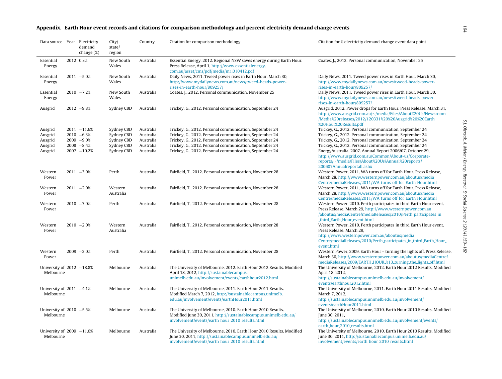#### <span id="page-6-0"></span>Appendix. Earth Hour event records and citations for comparison methodology and percent electricity demand change events

| Data source Year Electricity              |           | demand<br>change $(\%)$ | City/<br>state/<br>region | Country   | Citation for comparison methodology                                                                                                                                                | Citation for % electricity demand change event data point                                                                                                                                                                         |
|-------------------------------------------|-----------|-------------------------|---------------------------|-----------|------------------------------------------------------------------------------------------------------------------------------------------------------------------------------------|-----------------------------------------------------------------------------------------------------------------------------------------------------------------------------------------------------------------------------------|
| Essential<br>Energy                       | 2012 0.3% |                         | New South<br>Wales        | Australia | Essential Energy, 2012. Regional NSW saves energy during Earth Hour.<br>Press Release, April 1, http://www.essentialenergy.<br>com.au/asset/cms/pdf/media/mr_010412.pdf            | Coates, J., 2012. Personal communication, November 25                                                                                                                                                                             |
| Essential<br>Energy                       |           | $2011 - 5.0%$           | New South<br>Wales        | Australia | Daily News, 2011. Tweed power rises in Earth Hour. March 30,<br>http://www.mydailynews.com.au/news/tweed-heads-power-<br>rises-in-earth-hour/809257/                               | Daily News, 2011. Tweed power rises in Earth Hour. March 30,<br>http://www.mydailynews.com.au/news/tweed-heads-power-<br>rises-in-earth-hour/809257/                                                                              |
| Essential<br>Energy                       |           | $2010 - 7.2%$           | New South<br>Wales        | Australia | Coates, J., 2012. Personal communication, November 25                                                                                                                              | Daily News, 2011. Tweed power rises in Earth Hour. March 30,<br>http://www.mydailynews.com.au/news/tweed-heads-power-<br>rises-in-earth-hour/809257/                                                                              |
| Ausgrid                                   |           | $2012 - 9.8%$           | Sydney CBD                | Australia | Trickey, G., 2012. Personal communication, September 24                                                                                                                            | Ausgrid, 2012. Power drops for Earth Hour. Press Release, March 31,<br>http://www.ausgrid.com.au/~/media/Files/About%20Us/Newsroom<br>/Media%20releases/2012/120331%20%20Ausgrid%20%20Earth<br>%20Hour%20Results.pdf              |
| Ausgrid                                   |           | $2011 - 11.6%$          | Sydney CBD                | Australia | Trickey, G., 2012. Personal communication, September 24                                                                                                                            | Trickey, G., 2012. Personal communication, September 24                                                                                                                                                                           |
| Ausgrid                                   |           | $2010 - 6.3%$           | Sydney CBD                | Australia | Trickey, G., 2012. Personal communication, September 24                                                                                                                            | Trickey, G., 2012. Personal communication, September 24                                                                                                                                                                           |
| Ausgrid                                   |           | $2009 - 9.0%$           | Sydney CBD                | Australia | Trickey, G., 2012. Personal communication, September 24                                                                                                                            | Trickey, G., 2012. Personal communication, September 24                                                                                                                                                                           |
| Ausgrid                                   |           | $2008 - 8.4%$           | Sydney CBD                | Australia | Trickey, G., 2012. Personal communication, September 24                                                                                                                            | Trickey, G., 2012. Personal communication, September 24                                                                                                                                                                           |
| Ausgrid                                   |           | $2007 - 10.2%$          | Sydney CBD                | Australia | Trickey, G., 2012. Personal communication, September 24                                                                                                                            | EnergyAustralia, 2007. Annual Report 2006/07. October 29,<br>http://www.ausgrid.com.au/Common/About-us/Corporate-<br>reports/~/media/Files/About%20Us/Annual%20reports/<br>200607Annualreportall.ashx                             |
| Western<br>Power                          |           | $2011 - 3.0%$           | Perth                     | Australia | Fairfield, T., 2012. Personal communication, November 28                                                                                                                           | Western Power, 2011. WA turns off for Earth Hour. Press Release,<br>March 28, http://www.westernpower.com.au/aboutus/media<br>Centre/mediaReleases/2011/WA_turns_off_for_Earth_Hour.html                                          |
| Western<br>Power                          |           | $2011 - 2.0%$           | Western<br>Australia      | Australia | Fairfield, T., 2012. Personal communication, November 28                                                                                                                           | Western Power, 2011. WA turns off for Earth Hour. Press Release,<br>March 28, http://www.westernpower.com.au/aboutus/media<br>Centre/mediaReleases/2011/WA_turns_off_for_Earth_Hour.html                                          |
| Western<br>Power                          |           | $2010 - 3.0%$           | Perth                     | Australia | Fairfield, T., 2012. Personal communication, November 28                                                                                                                           | Western Power, 2010. Perth participates in third Earth Hour event.<br>Press Release, March 29, http://www.westernpower.com.au<br>/aboutus/mediaCentre/mediaReleases/2010/Perth_participates_in<br>third_Earth_Hour_event.html     |
| Western<br>Power                          |           | $2010 - 2.0%$           | Western<br>Australia      | Australia | Fairfield, T., 2012. Personal communication, November 28                                                                                                                           | Western Power, 2010. Perth participates in third Earth Hour event.<br>Press Release, March 29,<br>http://www.westernpower.com.au/aboutus/media<br>Centre/mediaReleases/2010/Perth_participates_in_third_Earth_Hour_<br>event.html |
| Western<br>Power                          |           | $2009 - 2.0%$           | Perth                     | Australia | Fairfield, T., 2012. Personal communication, November 28                                                                                                                           | Western Power, 2009. Earth Hour - turning the lights off. Press Release,<br>March 30, http://www.westernpower.com.au/aboutus/mediaCentre/<br>mediaReleases/2009/EARTH_HOUR_%13_turning_the_lights_off.html                        |
| University of $2012 -18.8%$<br>Melbourne  |           |                         | Melbourne                 | Australia | The University of Melbourne, 2012. Earth Hour 2012 Results. Modified<br>April 18, 2012, http://sustainablecampus.<br>unimelb.edu.au/involvement/events/earthhour2012.html          | The University of Melbourne, 2012. Earth Hour 2012 Results. Modified<br>April 18, 2012,<br>http://sustainablecampus.unimelb.edu.au/involvement/                                                                                   |
|                                           |           |                         |                           |           |                                                                                                                                                                                    | events/earthhour2012.html                                                                                                                                                                                                         |
| University of $2011 -4.1\%$               |           |                         | Melbourne                 | Australia | The University of Melbourne, 2011. Earth Hour 2011 Results.                                                                                                                        | The University of Melbourne, 2011. Earth Hour 2011 Results. Modified                                                                                                                                                              |
| Melbourne                                 |           |                         |                           |           | Modified March 7, 2012, http://sustainablecampus.unimelb.<br>edu.au/involvement/events/earthHour2011.html                                                                          | March 7, 2012,<br>http://sustainablecampus.unimelb.edu.au/involvement/                                                                                                                                                            |
| University of $2010 -5.5%$<br>Melbourne   |           |                         | Melbourne                 | Australia | The University of Melbourne, 2010. Earth Hour 2010 Results.<br>Modified June 30, 2011, http://sustainablecampus.unimelb.edu.au/                                                    | events/earthHour2011.html<br>The University of Melbourne, 2010. Earth Hour 2010 Results. Modified<br>June 30, 2011,                                                                                                               |
|                                           |           |                         |                           |           | involvement/events/earth_hour_2010_results.html                                                                                                                                    | http://sustainablecampus.unimelb.edu.au/involvement/events/<br>earth_hour_2010_results.html                                                                                                                                       |
| University of $2009 - 11.0%$<br>Melbourne |           |                         | Melbourne                 | Australia | The University of Melbourne, 2010. Earth Hour 2010 Results. Modified<br>June 30, 2011, http://sustainablecampus.unimelb.edu.au/<br>involvement/events/earth_hour_2010_results.html | The University of Melbourne, 2010. Earth Hour 2010 Results. Modified<br>June 30, 2011, http://sustainablecampus.unimelb.edu.au/<br>involvement/events/earth_hour_2010_results.html                                                |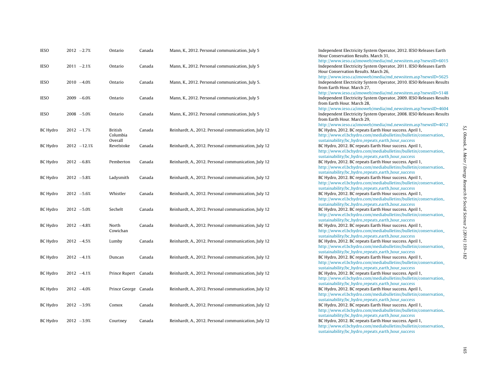| <b>IESO</b>     | $2012 -2.7%$   | Ontario               | Canada | Mann, K., 2012. Personal communication, July 5       | Independent Electricity System Operator, 2012. IESO Releases Earth<br>Hour Conservation Results, March 31,                                                                                |
|-----------------|----------------|-----------------------|--------|------------------------------------------------------|-------------------------------------------------------------------------------------------------------------------------------------------------------------------------------------------|
| <b>IESO</b>     | $2011 - 2.1%$  | Ontario               | Canada | Mann, K., 2012. Personal communication, July 5       | http://www.ieso.ca/imoweb/media/md_newsitem.asp?newsID=6015<br>Independent Electricity System Operator, 2011. IESO Releases Earth<br>Hour Conservation Results. March 26,                 |
| <b>IESO</b>     | $2010 - 4.0%$  | Ontario               | Canada | Mann, K., 2012. Personal communication, July 5.      | http://www.ieso.ca/imoweb/media/md_newsitem.asp?newsID=5625<br>Independent Electricity System Operator, 2010. IESO Releases Results<br>from Earth Hour, March 27,                         |
| <b>IESO</b>     | $2009 - 6.0%$  | Ontario               | Canada | Mann, K., 2012. Personal communication, July 5       | http://www.ieso.ca/imoweb/media/md_newsitem.asp?newsID=5148<br>Independent Electricity System Operator, 2009. IESO Releases Results<br>from Earth Hour, March 28,                         |
| <b>IESO</b>     | $2008 - 5.0%$  | Ontario               | Canada | Mann, K., 2012. Personal communication, July 5       | http://www.ieso.ca/imoweb/media/md_newsitem.asp?newsID=4604<br>Independent Electricity System Operator, 2008. IESO Releases Results<br>from Earth Hour, March 29,                         |
| <b>BC Hydro</b> | $2012 - 1.7%$  | British<br>Columbia   | Canada | Reinhardt, A., 2012. Personal communication, July 12 | http://www.ieso.ca/imoweb/media/md_newsitem.asp?newsID=4012<br>BC Hydro, 2012. BC repeats Earth Hour success. April 1,<br>http://www.el.bchydro.com/mediabulletins/bulletin/conservation_ |
| <b>BC Hydro</b> | $2012 - 12.1%$ | Overall<br>Revelstoke | Canada | Reinhardt, A., 2012. Personal communication, July 12 | sustainability/bc_hydro_repeats_earth_hour_success<br>BC Hydro, 2012. BC repeats Earth Hour success. April 1,<br>http://www.el.bchydro.com/mediabulletins/bulletin/conservation_          |
| <b>BC Hydro</b> | $2012 - 6.8%$  | Pemberton             | Canada | Reinhardt, A., 2012. Personal communication, July 12 | sustainability/bc_hydro_repeats_earth_hour_success<br>BC Hydro, 2012. BC repeats Earth Hour success. April 1,<br>http://www.el.bchydro.com/mediabulletins/bulletin/conservation_          |
| BC Hydro        | $2012 - 5.8%$  | Ladysmith             | Canada | Reinhardt, A., 2012. Personal communication, July 12 | sustainability/bc_hydro_repeats_earth_hour_success<br>BC Hydro, 2012. BC repeats Earth Hour success. April 1,<br>http://www.el.bchydro.com/mediabulletins/bulletin/conservation_          |
| BC Hydro        | $2012 - 5.6%$  | Whistler              | Canada | Reinhardt, A., 2012. Personal communication, July 12 | sustainability/bc_hydro_repeats_earth_hour_success<br>BC Hydro, 2012. BC repeats Earth Hour success. April 1,<br>http://www.el.bchydro.com/mediabulletins/bulletin/conservation_          |
| <b>BC Hydro</b> | $2012 - 5.0%$  | Sechelt               | Canada | Reinhardt, A., 2012. Personal communication, July 12 | sustainability/bc_hydro_repeats_earth_hour_success<br>BC Hydro, 2012. BC repeats Earth Hour success. April 1,<br>http://www.el.bchydro.com/mediabulletins/bulletin/conservation_          |
| <b>BC Hydro</b> | $2012 -4.8%$   | North<br>Cowichan     | Canada | Reinhardt, A., 2012. Personal communication, July 12 | sustainability/bc_hydro_repeats_earth_hour_success<br>BC Hydro, 2012. BC repeats Earth Hour success. April 1,<br>http://www.el.bchydro.com/mediabulletins/bulletin/conservation_          |
| BC Hydro        | $2012 -4.5%$   | Lumby                 | Canada | Reinhardt, A., 2012. Personal communication, July 12 | sustainability/bc_hydro_repeats_earth_hour_success<br>BC Hydro, 2012. BC repeats Earth Hour success. April 1,<br>http://www.el.bchydro.com/mediabulletins/bulletin/conservation_          |
| <b>BC Hydro</b> | $2012 -4.1%$   | Duncan                | Canada | Reinhardt, A., 2012. Personal communication, July 12 | sustainability/bc_hydro_repeats_earth_hour_success<br>BC Hydro, 2012. BC repeats Earth Hour success. April 1,<br>http://www.el.bchydro.com/mediabulletins/bulletin/conservation_          |
| <b>BC Hydro</b> | $2012 -4.1%$   | Prince Rupert Canada  |        | Reinhardt, A., 2012. Personal communication, July 12 | sustainability/bc_hydro_repeats_earth_hour_success<br>BC Hydro, 2012. BC repeats Earth Hour success. April 1,<br>http://www.el.bchydro.com/mediabulletins/bulletin/conservation_          |
| <b>BC Hydro</b> | $2012 - 4.0%$  | Prince George Canada  |        | Reinhardt, A., 2012. Personal communication, July 12 | sustainability/bc_hydro_repeats_earth_hour_success<br>BC Hydro, 2012. BC repeats Earth Hour success. April 1,<br>http://www.el.bchydro.com/mediabulletins/bulletin/conservation_          |
| <b>BC Hydro</b> | $2012 - 3.9%$  | Comox                 | Canada | Reinhardt, A., 2012. Personal communication, July 12 | sustainability/bc_hydro_repeats_earth_hour_success<br>BC Hydro, 2012. BC repeats Earth Hour success. April 1,<br>http://www.el.bchydro.com/mediabulletins/bulletin/conservation_          |
| BC Hydro        | $2012 - 3.9%$  | Courtney              | Canada | Reinhardt, A., 2012. Personal communication, July 12 | sustainability/bc_hydro_repeats_earth_hour_success<br>BC Hydro, 2012. BC repeats Earth Hour success. April 1,<br>http://www.el.bchydro.com/mediabulletins/bulletin/conservation_          |

[sustainability/bc](http://www.el.bchydro.com/mediabulletins/bulletin/conservation_sustainability/bc_hydro_repeats_earth_hour_success)\_hydro\_repeats\_earth\_hour\_success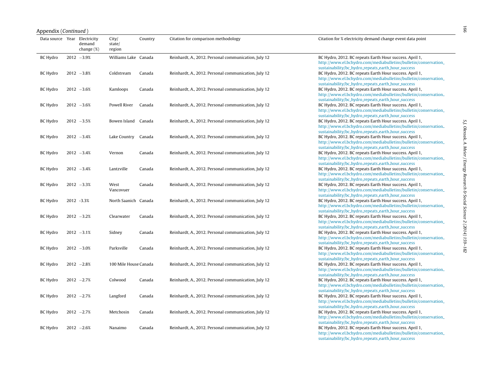| Appendix (Continued)         |                         |                           |         |                                                      |                                                                                                                                                                                                                                        |
|------------------------------|-------------------------|---------------------------|---------|------------------------------------------------------|----------------------------------------------------------------------------------------------------------------------------------------------------------------------------------------------------------------------------------------|
| Data source Year Electricity | demand<br>change $(\%)$ | City/<br>state/<br>region | Country | Citation for comparison methodology                  | Citation for % electricity demand change event data point                                                                                                                                                                              |
| <b>BC Hydro</b>              | $2012 - 3.9%$           | Williams Lake Canada      |         | Reinhardt, A., 2012. Personal communication, July 12 | BC Hydro, 2012. BC repeats Earth Hour success. April 1,<br>http://www.el.bchydro.com/mediabulletins/bulletin/conservation_<br>sustainability/bc_hydro_repeats_earth_hour_success                                                       |
| <b>BC</b> Hydro              | $2012 - 3.8%$           | Coldstream                | Canada  | Reinhardt, A., 2012. Personal communication, July 12 | BC Hydro, 2012. BC repeats Earth Hour success. April 1,<br>http://www.el.bchydro.com/mediabulletins/bulletin/conservation_                                                                                                             |
| BC Hydro                     | $2012 - 3.6%$           | Kamloops                  | Canada  | Reinhardt, A., 2012. Personal communication, July 12 | sustainability/bc_hydro_repeats_earth_hour_success<br>BC Hydro, 2012. BC repeats Earth Hour success. April 1,<br>http://www.el.bchydro.com/mediabulletins/bulletin/conservation_                                                       |
| BC Hydro                     | $2012 - 3.6%$           | Powell River              | Canada  | Reinhardt, A., 2012. Personal communication, July 12 | sustainability/bc_hydro_repeats_earth_hour_success<br>BC Hydro, 2012. BC repeats Earth Hour success. April 1,<br>http://www.el.bchydro.com/mediabulletins/bulletin/conservation_                                                       |
| <b>BC</b> Hydro              | $2012 - 3.5%$           | Bowen Island Canada       |         | Reinhardt, A., 2012. Personal communication, July 12 | sustainability/bc_hydro_repeats_earth_hour_success<br>BC Hydro, 2012. BC repeats Earth Hour success. April 1,<br>http://www.el.bchydro.com/mediabulletins/bulletin/conservation_<br>sustainability/bc_hydro_repeats_earth_hour_success |
| <b>BC</b> Hydro              | $2012 - 3.4%$           | Lake Country              | Canada  | Reinhardt, A., 2012. Personal communication, July 12 | BC Hydro, 2012. BC repeats Earth Hour success. April 1,<br>http://www.el.bchydro.com/mediabulletins/bulletin/conservation_<br>sustainability/bc_hydro_repeats_earth_hour_success                                                       |
| <b>BC Hydro</b>              | $2012 - 3.4%$           | Vernon                    | Canada  | Reinhardt, A., 2012. Personal communication, July 12 | BC Hydro, 2012. BC repeats Earth Hour success. April 1,<br>http://www.el.bchydro.com/mediabulletins/bulletin/conservation_<br>sustainability/bc_hydro_repeats_earth_hour_success                                                       |
| <b>BC Hydro</b>              | $2012 - 3.4%$           | Lantzville                | Canada  | Reinhardt, A., 2012. Personal communication, July 12 | BC Hydro, 2012. BC repeats Earth Hour success. April 1,<br>http://www.el.bchydro.com/mediabulletins/bulletin/conservation_                                                                                                             |
| <b>BC Hydro</b>              | $2012 - 3.3%$           | West<br>Vancovuer         | Canada  | Reinhardt, A., 2012. Personal communication, July 12 | sustainability/bc_hydro_repeats_earth_hour_success<br>BC Hydro, 2012. BC repeats Earth Hour success. April 1,<br>http://www.el.bchydro.com/mediabulletins/bulletin/conservation_                                                       |
| <b>BC Hydro</b>              | 2012 -3.3%              | North Saanich Canada      |         | Reinhardt, A., 2012. Personal communication, July 12 | sustainability/bc_hydro_repeats_earth_hour_success<br>BC Hydro, 2012. BC repeats Earth Hour success. April 1,<br>http://www.el.bchydro.com/mediabulletins/bulletin/conservation_                                                       |
| <b>BC</b> Hydro              | $2012 - 3.2%$           | Clearwater                | Canada  | Reinhardt, A., 2012. Personal communication, July 12 | sustainability/bc_hydro_repeats_earth_hour_success<br>BC Hydro, 2012. BC repeats Earth Hour success. April 1,<br>http://www.el.bchydro.com/mediabulletins/bulletin/conservation_                                                       |
| <b>BC Hydro</b>              | $2012 -3.1%$            | Sidney                    | Canada  | Reinhardt, A., 2012. Personal communication, July 12 | sustainability/bc_hydro_repeats_earth_hour_success<br>BC Hydro, 2012. BC repeats Earth Hour success. April 1,<br>http://www.el.bchydro.com/mediabulletins/bulletin/conservation_                                                       |
| <b>BC Hydro</b>              | $2012 - 3.0%$           | Parksville                | Canada  | Reinhardt, A., 2012. Personal communication, July 12 | sustainability/bc_hydro_repeats_earth_hour_success<br>BC Hydro, 2012. BC repeats Earth Hour success. April 1,<br>http://www.el.bchydro.com/mediabulletins/bulletin/conservation_                                                       |
| BC Hydro                     | $2012 - 2.8%$           | 100 Mile House Canada     |         | Reinhardt, A., 2012. Personal communication, July 12 | sustainability/bc_hydro_repeats_earth_hour_success<br>BC Hydro, 2012. BC repeats Earth Hour success. April 1,<br>http://www.el.bchydro.com/mediabulletins/bulletin/conservation_                                                       |
| <b>BC Hydro</b>              | $2012 -2.7%$            | Colwood                   | Canada  | Reinhardt, A., 2012. Personal communication, July 12 | sustainability/bc_hydro_repeats_earth_hour_success<br>BC Hydro, 2012. BC repeats Earth Hour success. April 1,<br>http://www.el.bchydro.com/mediabulletins/bulletin/conservation_                                                       |
| <b>BC</b> Hydro              | $2012 -2.7%$            | Langford                  | Canada  | Reinhardt, A., 2012. Personal communication, July 12 | sustainability/bc_hydro_repeats_earth_hour_success<br>BC Hydro, 2012. BC repeats Earth Hour success. April 1,<br>http://www.el.bchydro.com/mediabulletins/bulletin/conservation_                                                       |
| <b>BC Hydro</b>              | $2012 -2.7%$            | Metchosin                 | Canada  | Reinhardt, A., 2012. Personal communication, July 12 | sustainability/bc_hydro_repeats_earth_hour_success<br>BC Hydro, 2012. BC repeats Earth Hour success. April 1,<br>http://www.el.bchydro.com/mediabulletins/bulletin/conservation_                                                       |
| BC Hydro                     | $2012 - 2.6%$           | Nanaimo                   | Canada  | Reinhardt, A., 2012. Personal communication, July 12 | sustainability/bc_hydro_repeats_earth_hour_success<br>BC Hydro, 2012. BC repeats Earth Hour success. April 1,<br>http://www.el.bchydro.com/mediabulletins/bulletin/conservation_                                                       |

[sustainability/bc](http://www.el.bchydro.com/mediabulletins/bulletin/conservation_sustainability/bc_hydro_repeats_earth_hour_success)\_hydro\_repeats\_earth\_hour\_success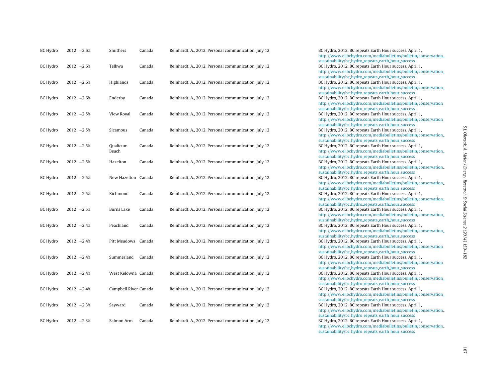| <b>BC Hydro</b> | $2012 - 2.6%$ | Smithers              | Canada | Reinhardt, A., 2012. Personal communication, July 12 |
|-----------------|---------------|-----------------------|--------|------------------------------------------------------|
| <b>BC</b> Hydro | $2012 - 2.6%$ | Telkwa                | Canada | Reinhardt, A., 2012. Personal communication, July 12 |
| <b>BC Hydro</b> | $2012 - 2.6%$ | Highlands             | Canada | Reinhardt, A., 2012. Personal communication, July 12 |
| BC Hydro        | $2012 - 2.6%$ | Enderby               | Canada | Reinhardt, A., 2012. Personal communication, July 12 |
| BC Hydro        | $2012 - 2.5%$ | View Royal            | Canada | Reinhardt, A., 2012. Personal communication, July 12 |
| <b>BC Hydro</b> | $2012 - 2.5%$ | Sicamous              | Canada | Reinhardt, A., 2012. Personal communication, July 12 |
| BC Hydro        | $2012 -2.5%$  | Qualicum<br>Beach     | Canada | Reinhardt, A., 2012. Personal communication, July 12 |
| BC Hydro        | $2012 -2.5%$  | Hazelton              | Canada | Reinhardt, A., 2012. Personal communication, July 12 |
| BC Hydro        | $2012 -2.5%$  | New Hazelton Canada   |        | Reinhardt, A., 2012. Personal communication, July 12 |
| <b>BC Hydro</b> | $2012 - 2.5%$ | Richmond              | Canada | Reinhardt, A., 2012. Personal communication, July 12 |
| <b>BC Hydro</b> | $2012 - 2.5%$ | Burns Lake            | Canada | Reinhardt, A., 2012. Personal communication, July 12 |
| BC Hydro        | $2012 -2.4%$  | Peachland             | Canada | Reinhardt, A., 2012. Personal communication, July 12 |
| <b>BC Hydro</b> | $2012 -2.4%$  | Pitt Meadows Canada   |        | Reinhardt, A., 2012. Personal communication, July 12 |
| BC Hydro        | $2012 -2.4%$  | Summerland            | Canada | Reinhardt, A., 2012. Personal communication, July 12 |
| BC Hydro        | $2012 -2.4%$  | West Kelowna Canada   |        | Reinhardt, A., 2012. Personal communication, July 12 |
| BC Hydro        | $2012 -2.4%$  | Campbell River Canada |        | Reinhardt, A., 2012. Personal communication, July 12 |
| BC Hydro        | $2012 -2.3%$  | Sayward               | Canada | Reinhardt, A., 2012. Personal communication, July 12 |
| BC Hydro        | $2012 -2.3%$  | Salmon Arm            | Canada | Reinhardt, A., 2012. Personal communication, July 12 |

BC Hydro, 2012. BC repeats Earth Hour success. April 1. [http://www.el.bchydro.com/mediabulletins/bulletin/conservation](http://www.el.bchydro.com/mediabulletins/bulletin/conservation_sustainability/bc_hydro_repeats_earth_hour_success) [sustainability/bc](http://www.el.bchydro.com/mediabulletins/bulletin/conservation_sustainability/bc_hydro_repeats_earth_hour_success) hydro repeats earth hour success BC Hydro, 2012. BC repeats Earth Hour success. April 1, [http://www.el.bchydro.com/mediabulletins/bulletin/conservation](http://www.el.bchydro.com/mediabulletins/bulletin/conservation_sustainability/bc_hydro_repeats_earth_hour_success) [sustainability/bc](http://www.el.bchydro.com/mediabulletins/bulletin/conservation_sustainability/bc_hydro_repeats_earth_hour_success)\_hydro\_repeats\_earth\_hour\_success BC Hydro, 2012. BC repeats Earth Hour success. April 1, [http://www.el.bchydro.com/mediabulletins/bulletin/conservation](http://www.el.bchydro.com/mediabulletins/bulletin/conservation_sustainability/bc_hydro_repeats_earth_hour_success) [sustainability/bc](http://www.el.bchydro.com/mediabulletins/bulletin/conservation_sustainability/bc_hydro_repeats_earth_hour_success) hydro repeats earth hour success BC Hydro, 2012. BC repeats Earth Hour success. April 1. [http://www.el.bchydro.com/mediabulletins/bulletin/conservation](http://www.el.bchydro.com/mediabulletins/bulletin/conservation_sustainability/bc_hydro_repeats_earth_hour_success) [sustainability/bc](http://www.el.bchydro.com/mediabulletins/bulletin/conservation_sustainability/bc_hydro_repeats_earth_hour_success) hydro repeats earth hour success BC Hydro, 2012. BC repeats Earth Hour success. April 1, [http://www.el.bchydro.com/mediabulletins/bulletin/conservation](http://www.el.bchydro.com/mediabulletins/bulletin/conservation_sustainability/bc_hydro_repeats_earth_hour_success) [sustainability/bc](http://www.el.bchydro.com/mediabulletins/bulletin/conservation_sustainability/bc_hydro_repeats_earth_hour_success)\_hydro\_repeats\_earth\_hour\_success BC Hydro, 2012. BC repeats Earth Hour success. April 1, [http://www.el.bchydro.com/mediabulletins/bulletin/conservation](http://www.el.bchydro.com/mediabulletins/bulletin/conservation_sustainability/bc_hydro_repeats_earth_hour_success) [sustainability/bc](http://www.el.bchydro.com/mediabulletins/bulletin/conservation_sustainability/bc_hydro_repeats_earth_hour_success) hydro repeats earth hour success BC Hydro, 2012. BC repeats Earth Hour success. April 1. [http://www.el.bchydro.com/mediabulletins/bulletin/conservation](http://www.el.bchydro.com/mediabulletins/bulletin/conservation_sustainability/bc_hydro_repeats_earth_hour_success) [sustainability/bc](http://www.el.bchydro.com/mediabulletins/bulletin/conservation_sustainability/bc_hydro_repeats_earth_hour_success)\_hydro\_repeats\_earth\_hour\_success BC Hydro, 2012. BC repeats Earth Hour success. April 1, [http://www.el.bchydro.com/mediabulletins/bulletin/conservation](http://www.el.bchydro.com/mediabulletins/bulletin/conservation_sustainability/bc_hydro_repeats_earth_hour_success) [sustainability/bc](http://www.el.bchydro.com/mediabulletins/bulletin/conservation_sustainability/bc_hydro_repeats_earth_hour_success) hydro repeats earth hour success BC Hydro, 2012. BC repeats Earth Hour success. April 1, [http://www.el.bchydro.com/mediabulletins/bulletin/conservation](http://www.el.bchydro.com/mediabulletins/bulletin/conservation_sustainability/bc_hydro_repeats_earth_hour_success) [sustainability/bc](http://www.el.bchydro.com/mediabulletins/bulletin/conservation_sustainability/bc_hydro_repeats_earth_hour_success) hydro repeats earth hour success BC Hydro, 2012. BC repeats Earth Hour success. April 1, [http://www.el.bchydro.com/mediabulletins/bulletin/conservation](http://www.el.bchydro.com/mediabulletins/bulletin/conservation_sustainability/bc_hydro_repeats_earth_hour_success) [sustainability/bc](http://www.el.bchydro.com/mediabulletins/bulletin/conservation_sustainability/bc_hydro_repeats_earth_hour_success) hydro repeats earth hour success BC Hydro, 2012. BC repeats Earth Hour success. April 1. [http://www.el.bchydro.com/mediabulletins/bulletin/conservation](http://www.el.bchydro.com/mediabulletins/bulletin/conservation_sustainability/bc_hydro_repeats_earth_hour_success) [sustainability/bc](http://www.el.bchydro.com/mediabulletins/bulletin/conservation_sustainability/bc_hydro_repeats_earth_hour_success) hydro repeats earth hour success BC Hydro, 2012. BC repeats Earth Hour success. April 1, [http://www.el.bchydro.com/mediabulletins/bulletin/conservation](http://www.el.bchydro.com/mediabulletins/bulletin/conservation_sustainability/bc_hydro_repeats_earth_hour_success) [sustainability/bc](http://www.el.bchydro.com/mediabulletins/bulletin/conservation_sustainability/bc_hydro_repeats_earth_hour_success) hydro repeats earth hour success BC Hydro, 2012. BC repeats Earth Hour success. April 1, [http://www.el.bchydro.com/mediabulletins/bulletin/conservation](http://www.el.bchydro.com/mediabulletins/bulletin/conservation_sustainability/bc_hydro_repeats_earth_hour_success) [sustainability/bc](http://www.el.bchydro.com/mediabulletins/bulletin/conservation_sustainability/bc_hydro_repeats_earth_hour_success) hydro repeats earth hour success BC Hydro, 2012. BC repeats Earth Hour success. April 1. [http://www.el.bchydro.com/mediabulletins/bulletin/conservation](http://www.el.bchydro.com/mediabulletins/bulletin/conservation_sustainability/bc_hydro_repeats_earth_hour_success) [sustainability/bc](http://www.el.bchydro.com/mediabulletins/bulletin/conservation_sustainability/bc_hydro_repeats_earth_hour_success)\_hydro\_repeats\_earth\_hour\_success BC Hydro, 2012. BC repeats Earth Hour success. April 1, [http://www.el.bchydro.com/mediabulletins/bulletin/conservation](http://www.el.bchydro.com/mediabulletins/bulletin/conservation_sustainability/bc_hydro_repeats_earth_hour_success) [sustainability/bc](http://www.el.bchydro.com/mediabulletins/bulletin/conservation_sustainability/bc_hydro_repeats_earth_hour_success)\_hydro\_repeats\_earth\_hour\_success BC Hydro, 2012. BC repeats Earth Hour success. April 1, [http://www.el.bchydro.com/mediabulletins/bulletin/conservation](http://www.el.bchydro.com/mediabulletins/bulletin/conservation_sustainability/bc_hydro_repeats_earth_hour_success) [sustainability/bc](http://www.el.bchydro.com/mediabulletins/bulletin/conservation_sustainability/bc_hydro_repeats_earth_hour_success)\_hydro\_repeats\_earth\_hour\_success BC Hydro, 2012. BC repeats Earth Hour success. April 1, [http://www.el.bchydro.com/mediabulletins/bulletin/conservation](http://www.el.bchydro.com/mediabulletins/bulletin/conservation_sustainability/bc_hydro_repeats_earth_hour_success)\_ [sustainability/bc](http://www.el.bchydro.com/mediabulletins/bulletin/conservation_sustainability/bc_hydro_repeats_earth_hour_success) hydro repeats earth hour success BC Hydro, 2012. BC repeats Earth Hour success. April 1. [http://www.el.bchydro.com/mediabulletins/bulletin/conservation](http://www.el.bchydro.com/mediabulletins/bulletin/conservation_sustainability/bc_hydro_repeats_earth_hour_success)

[sustainability/bc](http://www.el.bchydro.com/mediabulletins/bulletin/conservation_sustainability/bc_hydro_repeats_earth_hour_success) hydro repeats earth hour success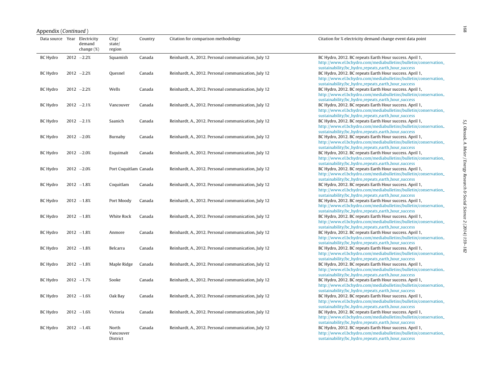| Appendix ( <i>Continued</i> )<br>Data source Year Electricity |                         | City/                          | Country | Citation for comparison methodology                  | Citation for % electricity demand change event data point                                                                                                                        |
|---------------------------------------------------------------|-------------------------|--------------------------------|---------|------------------------------------------------------|----------------------------------------------------------------------------------------------------------------------------------------------------------------------------------|
|                                                               | demand<br>change $(\%)$ | state/<br>region               |         |                                                      |                                                                                                                                                                                  |
| BC Hydro                                                      | $2012 -2.2%$            | Squamish                       | Canada  | Reinhardt, A., 2012. Personal communication, July 12 | BC Hydro, 2012. BC repeats Earth Hour success. April 1,<br>http://www.el.bchydro.com/mediabulletins/bulletin/conservation_<br>sustainability/bc_hydro_repeats_earth_hour_success |
| BC Hydro                                                      | $2012 -2.2%$            | Quesnel                        | Canada  | Reinhardt, A., 2012. Personal communication, July 12 | BC Hydro, 2012. BC repeats Earth Hour success. April 1,<br>http://www.el.bchydro.com/mediabulletins/bulletin/conservation_<br>sustainability/bc_hydro_repeats_earth_hour_success |
| <b>BC Hydro</b>                                               | $2012 -2.2%$            | Wells                          | Canada  | Reinhardt, A., 2012. Personal communication, July 12 | BC Hydro, 2012. BC repeats Earth Hour success. April 1,<br>http://www.el.bchydro.com/mediabulletins/bulletin/conservation_<br>sustainability/bc_hydro_repeats_earth_hour_success |
| BC Hydro                                                      | $2012 -2.1%$            | Vancouver                      | Canada  | Reinhardt, A., 2012. Personal communication, July 12 | BC Hydro, 2012. BC repeats Earth Hour success. April 1,<br>http://www.el.bchydro.com/mediabulletins/bulletin/conservation_<br>sustainability/bc_hydro_repeats_earth_hour_success |
| BC Hydro                                                      | $2012 -2.1%$            | Saanich                        | Canada  | Reinhardt, A., 2012. Personal communication, July 12 | BC Hydro, 2012. BC repeats Earth Hour success. April 1,<br>http://www.el.bchydro.com/mediabulletins/bulletin/conservation_<br>sustainability/bc_hydro_repeats_earth_hour_success |
| BC Hydro                                                      | $2012 - 2.0%$           | Burnaby                        | Canada  | Reinhardt, A., 2012. Personal communication, July 12 | BC Hydro, 2012. BC repeats Earth Hour success. April 1,<br>http://www.el.bchydro.com/mediabulletins/bulletin/conservation_<br>sustainability/bc_hydro_repeats_earth_hour_success |
| BC Hydro                                                      | $2012 - 2.0%$           | Esquimalt                      | Canada  | Reinhardt, A., 2012. Personal communication, July 12 | BC Hydro, 2012. BC repeats Earth Hour success. April 1.<br>http://www.el.bchydro.com/mediabulletins/bulletin/conservation_<br>sustainability/bc_hydro_repeats_earth_hour_success |
| BC Hydro                                                      | $2012 - 2.0%$           | Port Coquitlam Canada          |         | Reinhardt, A., 2012. Personal communication, July 12 | BC Hydro, 2012. BC repeats Earth Hour success. April 1,<br>http://www.el.bchydro.com/mediabulletins/bulletin/conservation_<br>sustainability/bc_hydro_repeats_earth_hour_success |
| BC Hydro                                                      | $2012 - 1.8%$           | Coquitlam                      | Canada  | Reinhardt, A., 2012. Personal communication, July 12 | BC Hydro, 2012. BC repeats Earth Hour success. April 1,<br>http://www.el.bchydro.com/mediabulletins/bulletin/conservation_<br>sustainability/bc_hydro_repeats_earth_hour_success |
| BC Hydro                                                      | $2012 - 1.8%$           | Port Moody                     | Canada  | Reinhardt, A., 2012. Personal communication, July 12 | BC Hydro, 2012. BC repeats Earth Hour success. April 1,<br>http://www.el.bchydro.com/mediabulletins/bulletin/conservation_<br>sustainability/bc_hydro_repeats_earth_hour_success |
| BC Hydro                                                      | $2012 - 1.8%$           | White Rock                     | Canada  | Reinhardt, A., 2012. Personal communication, July 12 | BC Hydro, 2012. BC repeats Earth Hour success. April 1,<br>http://www.el.bchydro.com/mediabulletins/bulletin/conservation_<br>sustainability/bc_hydro_repeats_earth_hour_success |
| BC Hydro                                                      | $2012 - 1.8%$           | Anmore                         | Canada  | Reinhardt, A., 2012. Personal communication, July 12 | BC Hydro, 2012. BC repeats Earth Hour success. April 1,<br>http://www.el.bchydro.com/mediabulletins/bulletin/conservation_<br>sustainability/bc_hydro_repeats_earth_hour_success |
| BC Hydro                                                      | $2012 - 1.8%$           | Belcarra                       | Canada  | Reinhardt, A., 2012. Personal communication, July 12 | BC Hydro, 2012. BC repeats Earth Hour success. April 1,<br>http://www.el.bchydro.com/mediabulletins/bulletin/conservation_<br>sustainability/bc_hydro_repeats_earth_hour_success |
| BC Hydro                                                      | $2012 - 1.8%$           | Maple Ridge                    | Canada  | Reinhardt, A., 2012. Personal communication, July 12 | BC Hydro, 2012. BC repeats Earth Hour success. April 1,<br>http://www.el.bchydro.com/mediabulletins/bulletin/conservation_<br>sustainability/bc_hydro_repeats_earth_hour_success |
| BC Hydro                                                      | $2012 - 1.7%$           | Sooke                          | Canada  | Reinhardt, A., 2012. Personal communication, July 12 | BC Hydro, 2012. BC repeats Earth Hour success. April 1,<br>http://www.el.bchydro.com/mediabulletins/bulletin/conservation_<br>sustainability/bc_hydro_repeats_earth_hour_success |
| BC Hydro                                                      | $2012 - 1.6%$           | Oak Bay                        | Canada  | Reinhardt, A., 2012. Personal communication, July 12 | BC Hydro, 2012. BC repeats Earth Hour success. April 1,<br>http://www.el.bchydro.com/mediabulletins/bulletin/conservation_<br>sustainability/bc_hydro_repeats_earth_hour_success |
| BC Hydro                                                      | $2012 - 1.6%$           | Victoria                       | Canada  | Reinhardt, A., 2012. Personal communication, July 12 | BC Hydro, 2012. BC repeats Earth Hour success. April 1,<br>http://www.el.bchydro.com/mediabulletins/bulletin/conservation_<br>sustainability/bc_hydro_repeats_earth_hour_success |
| BC Hydro                                                      | $2012 - 1.4%$           | North<br>Vancouver<br>District | Canada  | Reinhardt, A., 2012. Personal communication, July 12 | BC Hydro, 2012. BC repeats Earth Hour success. April 1,<br>http://www.el.bchydro.com/mediabulletins/bulletin/conservation_<br>sustainability/bc_hydro_repeats_earth_hour_success |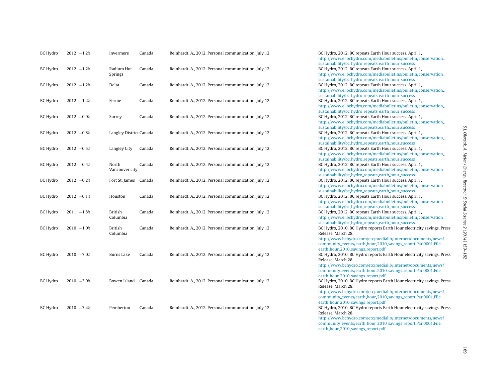| <b>BC Hydro</b> | $2012 - 1.2%$ | Invermere                  | Canada | Reinhardt, A., 2012. Personal communication, July 12 | BC Hydro, 2012. BC repeats Earth Hour success. April 1,<br>http://www.el.bchydro.com/mediabulletins/bulletin/conservation_                                                                                                             |
|-----------------|---------------|----------------------------|--------|------------------------------------------------------|----------------------------------------------------------------------------------------------------------------------------------------------------------------------------------------------------------------------------------------|
| BC Hydro        | $2012 - 1.2%$ | Radium Hot<br>Springs      | Canada | Reinhardt, A., 2012. Personal communication, July 12 | sustainability/bc_hydro_repeats_earth_hour_success<br>BC Hydro, 2012. BC repeats Earth Hour success. April 1,<br>http://www.el.bchydro.com/mediabulletins/bulletin/conservation_<br>sustainability/bc_hydro_repeats_earth_hour_success |
| <b>BC Hydro</b> | $2012 - 1.2%$ | Delta                      | Canada | Reinhardt, A., 2012. Personal communication, July 12 | BC Hydro, 2012. BC repeats Earth Hour success. April 1,<br>http://www.el.bchydro.com/mediabulletins/bulletin/conservation_<br>sustainability/bc_hydro_repeats_earth_hour_success                                                       |
| BC Hydro        | $2012 - 1.2%$ | Fernie                     | Canada | Reinhardt, A., 2012. Personal communication, July 12 | BC Hydro, 2012. BC repeats Earth Hour success. April 1,<br>http://www.el.bchydro.com/mediabulletins/bulletin/conservation_<br>sustainability/bc_hydro_repeats_earth_hour_success                                                       |
| <b>BC Hydro</b> | $2012 -0.9%$  | Surrey                     | Canada | Reinhardt, A., 2012. Personal communication, July 12 | BC Hydro, 2012. BC repeats Earth Hour success. April 1,<br>http://www.el.bchydro.com/mediabulletins/bulletin/conservation_<br>sustainability/bc_hydro_repeats_earth_hour_success                                                       |
| BC Hydro        | $2012 -0.8%$  | Langley District Canada    |        | Reinhardt, A., 2012. Personal communication, July 12 | BC Hydro, 2012. BC repeats Earth Hour success. April 1,<br>http://www.el.bchydro.com/mediabulletins/bulletin/conservation_<br>sustainability/bc_hydro_repeats_earth_hour_success                                                       |
| BC Hydro        | $2012 -0.5%$  | Langley City               | Canada | Reinhardt, A., 2012. Personal communication, July 12 | BC Hydro, 2012. BC repeats Earth Hour success. April 1,<br>http://www.el.bchydro.com/mediabulletins/bulletin/conservation_<br>sustainability/bc_hydro_repeats_earth_hour_success                                                       |
| <b>BC Hydro</b> | $2012 -0.4%$  | North<br>Vancouver city    | Canada | Reinhardt, A., 2012. Personal communication, July 12 | BC Hydro, 2012. BC repeats Earth Hour success. April 1,<br>http://www.el.bchydro.com/mediabulletins/bulletin/conservation_<br>sustainability/bc_hydro_repeats_earth_hour_success                                                       |
| <b>BC Hydro</b> | $2012 -0.2%$  | Fort St. James Canada      |        | Reinhardt, A., 2012. Personal communication, July 12 | BC Hydro, 2012. BC repeats Earth Hour success. April 1,<br>http://www.el.bchydro.com/mediabulletins/bulletin/conservation_<br>sustainability/bc_hydro_repeats_earth_hour_success                                                       |
| <b>BC Hydro</b> | $2012 -0.1%$  | Houston                    | Canada | Reinhardt, A., 2012. Personal communication, July 12 | BC Hydro, 2012. BC repeats Earth Hour success. April 1,<br>http://www.el.bchydro.com/mediabulletins/bulletin/conservation_<br>sustainability/bc_hydro_repeats_earth_hour_success                                                       |
| BC Hydro        | $2011 - 1.8%$ | British<br>Columbia        | Canada | Reinhardt, A., 2012. Personal communication, July 12 | BC Hydro, 2012. BC repeats Earth Hour success. April 1,<br>http://www.el.bchydro.com/mediabulletins/bulletin/conservation_<br>sustainability/bc_hydro_repeats_earth_hour_success                                                       |
| <b>BC Hydro</b> | $2010 - 1.0%$ | <b>British</b><br>Columbia | Canada | Reinhardt, A., 2012. Personal communication, July 12 | BC Hydro, 2010. BC Hydro reports Earth Hour electricity savings. Press<br>Release, March 28,<br>http://www.bchydro.com/etc/medialib/internet/documents/news/                                                                           |
|                 |               |                            |        |                                                      | community_events/earth_hour_2010_savings_report.Par.0001.File.<br>earth_hour_2010_savings_report.pdf                                                                                                                                   |
| <b>BC Hydro</b> | $2010 - 7.0%$ | Burns Lake                 | Canada | Reinhardt, A., 2012. Personal communication, July 12 | BC Hydro, 2010. BC Hydro reports Earth Hour electricity savings. Press<br>Release, March 28,<br>http://www.bchydro.com/etc/medialib/internet/documents/news/<br>community_events/earth_hour_2010_savings_report.Par.0001.File.         |
| <b>BC Hydro</b> | $2010 - 3.9%$ | Bowen Island Canada        |        | Reinhardt, A., 2012. Personal communication, July 12 | earth_hour_2010_savings_report.pdf<br>BC Hydro, 2010. BC Hydro reports Earth Hour electricity savings. Press<br>Release, March 28,                                                                                                     |
|                 |               |                            |        |                                                      | http://www.bchydro.com/etc/medialib/internet/documents/news/<br>community_events/earth_hour_2010_savings_report.Par.0001.File.<br>earth_hour_2010_savings_report.pdf                                                                   |
| <b>BC Hydro</b> | $2010 - 3.4%$ | Pemberton                  | Canada | Reinhardt, A., 2012. Personal communication, July 12 | BC Hydro, 2010. BC Hydro reports Earth Hour electricity savings. Press<br>Release, March 28,<br>http://www.bchydro.com/etc/medialib/internet/documents/news/                                                                           |
|                 |               |                            |        |                                                      | community_events/earth_hour_2010_savings_report.Par.0001.File.                                                                                                                                                                         |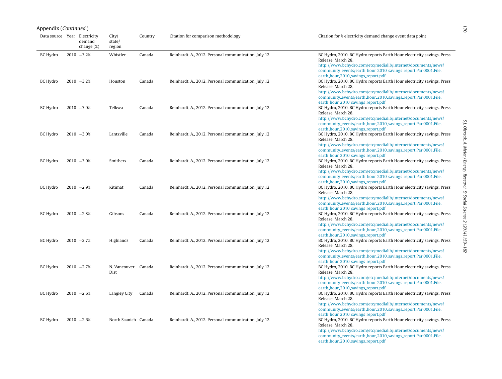| Data source Year Electricity | demand<br>change (%) | City/<br>state/<br>region   | Country | Citation for comparison methodology                  | Citation for % electricity demand change event data point                                                                                                                                                                                                                                                                              |
|------------------------------|----------------------|-----------------------------|---------|------------------------------------------------------|----------------------------------------------------------------------------------------------------------------------------------------------------------------------------------------------------------------------------------------------------------------------------------------------------------------------------------------|
| <b>BC Hydro</b>              | $2010 - 3.2%$        | Whistler                    | Canada  | Reinhardt, A., 2012. Personal communication, July 12 | BC Hydro, 2010. BC Hydro reports Earth Hour electricity savings. Press<br>Release, March 28,<br>http://www.bchydro.com/etc/medialib/internet/documents/news/<br>community_events/earth_hour_2010_savings_report.Par.0001.File.                                                                                                         |
| BC Hydro                     | $2010 - 3.2%$        | Houston                     | Canada  | Reinhardt, A., 2012. Personal communication, July 12 | earth_hour_2010_savings_report.pdf<br>BC Hydro, 2010. BC Hydro reports Earth Hour electricity savings. Press<br>Release, March 28,<br>http://www.bchydro.com/etc/medialib/internet/documents/news/<br>community_events/earth_hour_2010_savings_report.Par.0001.File.                                                                   |
| BC Hydro                     | $2010 - 3.0%$        | Telkwa                      | Canada  | Reinhardt, A., 2012. Personal communication, July 12 | earth_hour_2010_savings_report.pdf<br>BC Hydro, 2010. BC Hydro reports Earth Hour electricity savings. Press<br>Release, March 28,<br>http://www.bchydro.com/etc/medialib/internet/documents/news/                                                                                                                                     |
| BC Hydro                     | $2010 - 3.0%$        | Lantzville                  | Canada  | Reinhardt, A., 2012. Personal communication, July 12 | community_events/earth_hour_2010_savings_report.Par.0001.File.<br>earth_hour_2010_savings_report.pdf<br>BC Hydro, 2010. BC Hydro reports Earth Hour electricity savings. Press<br>Release, March 28,<br>http://www.bchydro.com/etc/medialib/internet/documents/news/                                                                   |
| BC Hydro                     | $2010 - 3.0%$        | Smithers                    | Canada  | Reinhardt, A., 2012. Personal communication, July 12 | community_events/earth_hour_2010_savings_report.Par.0001.File.<br>earth_hour_2010_savings_report.pdf<br>BC Hydro, 2010. BC Hydro reports Earth Hour electricity savings. Press<br>Release, March 28,<br>http://www.bchydro.com/etc/medialib/internet/documents/news/                                                                   |
| BC Hydro                     | $2010 - 2.9%$        | Kitimat                     | Canada  | Reinhardt, A., 2012. Personal communication, July 12 | community_events/earth_hour_2010_savings_report.Par.0001.File.<br>earth_hour_2010_savings_report.pdf<br>BC Hydro, 2010. BC Hydro reports Earth Hour electricity savings. Press<br>Release, March 28,<br>http://www.bchydro.com/etc/medialib/internet/documents/news/                                                                   |
| BC Hydro                     | $2010 - 2.8%$        | Gibsons                     | Canada  | Reinhardt, A., 2012. Personal communication, July 12 | community_events/earth_hour_2010_savings_report.Par.0001.File.<br>earth_hour_2010_savings_report.pdf<br>BC Hydro, 2010. BC Hydro reports Earth Hour electricity savings. Press<br>Release, March 28,<br>http://www.bchydro.com/etc/medialib/internet/documents/news/                                                                   |
| BC Hydro                     | $2010 - 2.7%$        | Highlands                   | Canada  | Reinhardt, A., 2012. Personal communication, July 12 | community_events/earth_hour_2010_savings_report.Par.0001.File.<br>earth_hour_2010_savings_report.pdf<br>BC Hydro, 2010. BC Hydro reports Earth Hour electricity savings. Press<br>Release, March 28,<br>http://www.bchydro.com/etc/medialib/internet/documents/news/                                                                   |
| BC Hydro                     | $2010 - 2.7%$        | N. Vancouver Canada<br>Dist |         | Reinhardt, A., 2012. Personal communication, July 12 | community_events/earth_hour_2010_savings_report.Par.0001.File.<br>earth_hour_2010_savings_report.pdf<br>BC Hydro, 2010. BC Hydro reports Earth Hour electricity savings. Press<br>Release, March 28,<br>http://www.bchydro.com/etc/medialib/internet/documents/news/                                                                   |
| BC Hydro                     | $2010 - 2.6%$        | Langley City                | Canada  | Reinhardt, A., 2012. Personal communication, July 12 | community_events/earth_hour_2010_savings_report.Par.0001.File.<br>earth_hour_2010_savings_report.pdf<br>BC Hydro, 2010. BC Hydro reports Earth Hour electricity savings. Press<br>Release, March 28,<br>http://www.bchydro.com/etc/medialib/internet/documents/news/                                                                   |
| BC Hydro                     | $2010 - 2.6%$        | North Saanich Canada        |         | Reinhardt, A., 2012. Personal communication, July 12 | community_events/earth_hour_2010_savings_report.Par.0001.File.<br>earth_hour_2010_savings_report.pdf<br>BC Hydro, 2010. BC Hydro reports Earth Hour electricity savings. Press<br>Release, March 28,<br>http://www.bchydro.com/etc/medialib/internet/documents/news/<br>community_events/earth_hour_2010_savings_report.Par.0001.File. |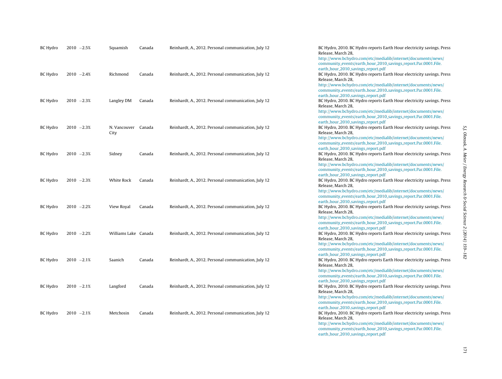| <b>BC Hydro</b> | $2010 - 2.5%$ | Squamish                    | Canada | Reinhardt, A., 2012. Personal communication, July 12 | BC Hydro, 2010. BC Hydro reports Earth Hour electricity savings. Press<br>Release, March 28,<br>http://www.bchydro.com/etc/medialib/internet/documents/news/<br>community_events/earth_hour_2010_savings_report.Par.0001.File.                                       |
|-----------------|---------------|-----------------------------|--------|------------------------------------------------------|----------------------------------------------------------------------------------------------------------------------------------------------------------------------------------------------------------------------------------------------------------------------|
| BC Hydro        | $2010 - 2.4%$ | Richmond                    | Canada | Reinhardt, A., 2012. Personal communication, July 12 | earth_hour_2010_savings_report.pdf<br>BC Hydro, 2010. BC Hydro reports Earth Hour electricity savings. Press<br>Release, March 28,<br>http://www.bchydro.com/etc/medialib/internet/documents/news/                                                                   |
| BC Hydro        | $2010 - 2.3%$ | Langley DM                  | Canada | Reinhardt, A., 2012. Personal communication, July 12 | community_events/earth_hour_2010_savings_report.Par.0001.File.<br>earth_hour_2010_savings_report.pdf<br>BC Hydro, 2010. BC Hydro reports Earth Hour electricity savings. Press<br>Release, March 28,<br>http://www.bchydro.com/etc/medialib/internet/documents/news/ |
| BC Hydro        | $2010 - 2.3%$ | N. Vancouver Canada<br>City |        | Reinhardt, A., 2012. Personal communication, July 12 | community_events/earth_hour_2010_savings_report.Par.0001.File.<br>earth_hour_2010_savings_report.pdf<br>BC Hydro, 2010. BC Hydro reports Earth Hour electricity savings. Press<br>Release, March 28,                                                                 |
| <b>BC Hydro</b> | $2010 - 2.3%$ | Sidney                      | Canada | Reinhardt, A., 2012. Personal communication, July 12 | http://www.bchydro.com/etc/medialib/internet/documents/news/<br>community_events/earth_hour_2010_savings_report.Par.0001.File.<br>earth_hour_2010_savings_report.pdf<br>BC Hydro, 2010. BC Hydro reports Earth Hour electricity savings. Press<br>Release, March 28, |
| <b>BC Hydro</b> | $2010 - 2.3%$ | White Rock                  | Canada | Reinhardt, A., 2012. Personal communication, July 12 | http://www.bchydro.com/etc/medialib/internet/documents/news/<br>community_events/earth_hour_2010_savings_report.Par.0001.File.<br>earth_hour_2010_savings_report.pdf<br>BC Hydro, 2010. BC Hydro reports Earth Hour electricity savings. Press<br>Release, March 28, |
| <b>BC Hydro</b> | $2010 - 2.2%$ | View Royal                  | Canada | Reinhardt, A., 2012. Personal communication, July 12 | http://www.bchydro.com/etc/medialib/internet/documents/news/<br>community_events/earth_hour_2010_savings_report.Par.0001.File.<br>earth_hour_2010_savings_report.pdf<br>BC Hydro, 2010. BC Hydro reports Earth Hour electricity savings. Press                       |
|                 |               |                             |        |                                                      | Release, March 28,<br>http://www.bchydro.com/etc/medialib/internet/documents/news/<br>community_events/earth_hour_2010_savings_report.Par.0001.File.<br>earth_hour_2010_savings_report.pdf                                                                           |
| <b>BC Hydro</b> | $2010 - 2.2%$ | Williams Lake Canada        |        | Reinhardt, A., 2012. Personal communication, July 12 | BC Hydro, 2010. BC Hydro reports Earth Hour electricity savings. Press<br>Release, March 28,<br>http://www.bchydro.com/etc/medialib/internet/documents/news/<br>community_events/earth_hour_2010_savings_report.Par.0001.File.<br>earth_hour_2010_savings_report.pdf |
| <b>BC Hydro</b> | $2010 - 2.1%$ | Saanich                     | Canada | Reinhardt, A., 2012. Personal communication, July 12 | BC Hydro, 2010. BC Hydro reports Earth Hour electricity savings. Press<br>Release, March 28,<br>http://www.bchydro.com/etc/medialib/internet/documents/news/<br>community_events/earth_hour_2010_savings_report.Par.0001.File.                                       |
| BC Hydro        | $2010 - 2.1%$ | Langford                    | Canada | Reinhardt, A., 2012. Personal communication, July 12 | earth_hour_2010_savings_report.pdf<br>BC Hydro, 2010. BC Hydro reports Earth Hour electricity savings. Press<br>Release, March 28,<br>http://www.bchydro.com/etc/medialib/internet/documents/news/<br>community_events/earth_hour_2010_savings_report.Par.0001.File. |
| BC Hydro        | $2010 - 2.1%$ | Metchosin                   | Canada | Reinhardt, A., 2012. Personal communication, July 12 | earth_hour_2010_savings_report.pdf<br>BC Hydro, 2010. BC Hydro reports Earth Hour electricity savings. Press<br>Release, March 28,<br>http://www.bchydro.com/etc/medialib/internet/documents/news/<br>community_events/earth_hour_2010_savings_report.Par.0001.File. |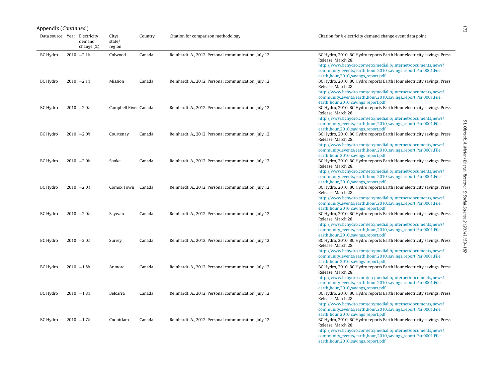|                 | Data source Year Electricity<br>City/<br>Country<br>Citation for comparison methodology<br>Citation for % electricity demand change event data point |                      |                       |        |                                                      |                                                                                                                                                                                                                                                                                                                                        |  |  |  |
|-----------------|------------------------------------------------------------------------------------------------------------------------------------------------------|----------------------|-----------------------|--------|------------------------------------------------------|----------------------------------------------------------------------------------------------------------------------------------------------------------------------------------------------------------------------------------------------------------------------------------------------------------------------------------------|--|--|--|
|                 |                                                                                                                                                      | demand<br>change (%) | state/<br>region      |        |                                                      |                                                                                                                                                                                                                                                                                                                                        |  |  |  |
| <b>BC Hydro</b> |                                                                                                                                                      | $2010 - 2.1%$        | Colwood               | Canada | Reinhardt, A., 2012. Personal communication, July 12 | BC Hydro, 2010. BC Hydro reports Earth Hour electricity savings. Press<br>Release, March 28,<br>http://www.bchydro.com/etc/medialib/internet/documents/news/<br>community_events/earth_hour_2010_savings_report.Par.0001.File.                                                                                                         |  |  |  |
| <b>BC</b> Hydro |                                                                                                                                                      | $2010 -2.1%$         | Mission               | Canada | Reinhardt, A., 2012. Personal communication, July 12 | earth_hour_2010_savings_report.pdf<br>BC Hydro, 2010. BC Hydro reports Earth Hour electricity savings. Press<br>Release, March 28,<br>http://www.bchydro.com/etc/medialib/internet/documents/news/<br>community_events/earth_hour_2010_savings_report.Par.0001.File.                                                                   |  |  |  |
| BC Hydro        |                                                                                                                                                      | $2010 - 2.0%$        | Campbell River Canada |        | Reinhardt, A., 2012. Personal communication, July 12 | earth_hour_2010_savings_report.pdf<br>BC Hydro, 2010. BC Hydro reports Earth Hour electricity savings. Press<br>Release, March 28,<br>http://www.bchydro.com/etc/medialib/internet/documents/news/<br>community_events/earth_hour_2010_savings_report.Par.0001.File.                                                                   |  |  |  |
| BC Hydro        |                                                                                                                                                      | $2010 - 2.0%$        | Courtenay             | Canada | Reinhardt, A., 2012. Personal communication, July 12 | earth_hour_2010_savings_report.pdf<br>BC Hydro, 2010. BC Hydro reports Earth Hour electricity savings. Press<br>Release, March 28,<br>http://www.bchydro.com/etc/medialib/internet/documents/news/                                                                                                                                     |  |  |  |
| <b>BC</b> Hydro |                                                                                                                                                      | $2010 - 2.0%$        | Sooke                 | Canada | Reinhardt, A., 2012. Personal communication, July 12 | community_events/earth_hour_2010_savings_report.Par.0001.File.<br>earth_hour_2010_savings_report.pdf<br>BC Hydro, 2010. BC Hydro reports Earth Hour electricity savings. Press<br>Release, March 28,<br>http://www.bchydro.com/etc/medialib/internet/documents/news/                                                                   |  |  |  |
| <b>BC</b> Hydro |                                                                                                                                                      | $2010 - 2.0%$        | Comox Town Canada     |        | Reinhardt, A., 2012. Personal communication, July 12 | community_events/earth_hour_2010_savings_report.Par.0001.File.<br>earth_hour_2010_savings_report.pdf<br>BC Hydro, 2010. BC Hydro reports Earth Hour electricity savings. Press<br>Release, March 28,<br>http://www.bchydro.com/etc/medialib/internet/documents/news/                                                                   |  |  |  |
| <b>BC</b> Hydro |                                                                                                                                                      | $2010 - 2.0%$        | Sayward               | Canada | Reinhardt, A., 2012. Personal communication, July 12 | community_events/earth_hour_2010_savings_report.Par.0001.File.<br>earth_hour_2010_savings_report.pdf<br>BC Hydro, 2010. BC Hydro reports Earth Hour electricity savings. Press<br>Release, March 28,<br>http://www.bchydro.com/etc/medialib/internet/documents/news/                                                                   |  |  |  |
| <b>BC</b> Hydro |                                                                                                                                                      | $2010 - 2.0%$        | Surrey                | Canada | Reinhardt, A., 2012. Personal communication, July 12 | community_events/earth_hour_2010_savings_report.Par.0001.File.<br>earth_hour_2010_savings_report.pdf<br>BC Hydro, 2010. BC Hydro reports Earth Hour electricity savings. Press<br>Release, March 28,<br>http://www.bchydro.com/etc/medialib/internet/documents/news/                                                                   |  |  |  |
| <b>BC Hydro</b> |                                                                                                                                                      | $2010 - 1.8%$        | Anmore                | Canada | Reinhardt, A., 2012. Personal communication, July 12 | community_events/earth_hour_2010_savings_report.Par.0001.File.<br>earth_hour_2010_savings_report.pdf<br>BC Hydro, 2010. BC Hydro reports Earth Hour electricity savings. Press<br>Release, March 28,<br>http://www.bchydro.com/etc/medialib/internet/documents/news/                                                                   |  |  |  |
| <b>BC Hydro</b> |                                                                                                                                                      | $2010 - 1.8%$        | Belcarra              | Canada | Reinhardt, A., 2012. Personal communication, July 12 | community.events/earth.hour.2010.savings.report.Par.0001.File.<br>earth_hour_2010_savings_report.pdf<br>BC Hydro, 2010. BC Hydro reports Earth Hour electricity savings. Press<br>Release, March 28,<br>http://www.bchydro.com/etc/medialib/internet/documents/news/                                                                   |  |  |  |
| <b>BC Hydro</b> |                                                                                                                                                      | $2010 - 1.7%$        | Coquitlam             | Canada | Reinhardt, A., 2012. Personal communication, July 12 | community_events/earth_hour_2010_savings_report.Par.0001.File.<br>earth_hour_2010_savings_report.pdf<br>BC Hydro, 2010. BC Hydro reports Earth Hour electricity savings. Press<br>Release, March 28,<br>http://www.bchydro.com/etc/medialib/internet/documents/news/<br>community_events/earth_hour_2010_savings_report.Par.0001.File. |  |  |  |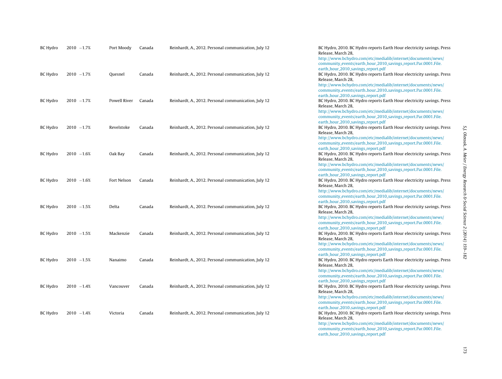| BC Hydro | $2010 - 1.7%$ | Port Moody   | Canada | Reinhardt, A., 2012. Personal communication, July 12 | BC Hydro, 2010. BC Hydro reports Earth Hour electricity savings. Press<br>Release, March 28,<br>http://www.bchydro.com/etc/medialib/internet/documents/news/<br>community_events/earth_hour_2010_savings_report.Par.0001.File.                                                                                                                                                                         |
|----------|---------------|--------------|--------|------------------------------------------------------|--------------------------------------------------------------------------------------------------------------------------------------------------------------------------------------------------------------------------------------------------------------------------------------------------------------------------------------------------------------------------------------------------------|
| BC Hydro | $2010 - 1.7%$ | Quesnel      | Canada | Reinhardt, A., 2012. Personal communication, July 12 | earth_hour_2010_savings_report.pdf<br>BC Hydro, 2010. BC Hydro reports Earth Hour electricity savings. Press<br>Release, March 28,<br>http://www.bchydro.com/etc/medialib/internet/documents/news/                                                                                                                                                                                                     |
| BC Hydro | $2010 - 1.7%$ | Powell River | Canada | Reinhardt, A., 2012. Personal communication, July 12 | community_events/earth_hour_2010_savings_report.Par.0001.File.<br>earth_hour_2010_savings_report.pdf<br>BC Hydro, 2010. BC Hydro reports Earth Hour electricity savings. Press<br>Release, March 28,<br>http://www.bchydro.com/etc/medialib/internet/documents/news/                                                                                                                                   |
| BC Hydro | $2010 - 1.7%$ | Revelstoke   | Canada | Reinhardt, A., 2012. Personal communication, July 12 | community_events/earth_hour_2010_savings_report.Par.0001.File.<br>earth_hour_2010_savings_report.pdf<br>BC Hydro, 2010. BC Hydro reports Earth Hour electricity savings. Press<br>Release, March 28,<br>http://www.bchydro.com/etc/medialib/internet/documents/news/                                                                                                                                   |
| BC Hydro | $2010 - 1.6%$ | Oak Bay      | Canada | Reinhardt, A., 2012. Personal communication, July 12 | community_events/earth_hour_2010_savings_report.Par.0001.File.<br>earth_hour_2010_savings_report.pdf<br>BC Hydro, 2010. BC Hydro reports Earth Hour electricity savings. Press<br>Release, March 28,<br>http://www.bchydro.com/etc/medialib/internet/documents/news/                                                                                                                                   |
| BC Hydro | $2010 - 1.6%$ | Fort Nelson  | Canada | Reinhardt, A., 2012. Personal communication, July 12 | community_events/earth_hour_2010_savings_report.Par.0001.File.<br>earth_hour_2010_savings_report.pdf<br>BC Hydro, 2010. BC Hydro reports Earth Hour electricity savings. Press<br>Release, March 28,                                                                                                                                                                                                   |
| BC Hydro | $2010 - 1.5%$ | Delta        | Canada | Reinhardt, A., 2012. Personal communication, July 12 | http://www.bchydro.com/etc/medialib/internet/documents/news/<br>community_events/earth_hour_2010_savings_report.Par.0001.File.<br>earth_hour_2010_savings_report.pdf<br>BC Hydro, 2010. BC Hydro reports Earth Hour electricity savings. Press<br>Release, March 28,                                                                                                                                   |
| BC Hydro | $2010 - 1.5%$ | Mackenzie    | Canada | Reinhardt, A., 2012. Personal communication, July 12 | http://www.bchydro.com/etc/medialib/internet/documents/news/<br>community_events/earth_hour_2010_savings_report.Par.0001.File.<br>earth_hour_2010_savings_report.pdf<br>BC Hydro, 2010. BC Hydro reports Earth Hour electricity savings. Press<br>Release, March 28,                                                                                                                                   |
| BC Hydro | $2010 - 1.5%$ | Nanaimo      | Canada | Reinhardt, A., 2012. Personal communication, July 12 | http://www.bchydro.com/etc/medialib/internet/documents/news/<br>community_events/earth_hour_2010_savings_report.Par.0001.File.<br>earth_hour_2010_savings_report.pdf<br>BC Hydro, 2010. BC Hydro reports Earth Hour electricity savings. Press<br>Release, March 28,                                                                                                                                   |
| BC Hydro | $2010 - 1.4%$ | Vancouver    | Canada | Reinhardt, A., 2012. Personal communication, July 12 | http://www.bchydro.com/etc/medialib/internet/documents/news/<br>community_events/earth_hour_2010_savings_report.Par.0001.File.<br>earth_hour_2010_savings_report.pdf<br>BC Hydro, 2010. BC Hydro reports Earth Hour electricity savings. Press<br>Release, March 28,                                                                                                                                   |
| BC Hydro | $2010 - 1.4%$ | Victoria     | Canada | Reinhardt, A., 2012. Personal communication, July 12 | http://www.bchydro.com/etc/medialib/internet/documents/news/<br>community_events/earth_hour_2010_savings_report.Par.0001.File.<br>earth_hour_2010_savings_report.pdf<br>BC Hydro, 2010. BC Hydro reports Earth Hour electricity savings. Press<br>Release, March 28,<br>http://www.bchydro.com/etc/medialib/internet/documents/news/<br>community_events/earth_hour_2010_savings_report.Par.0001.File. |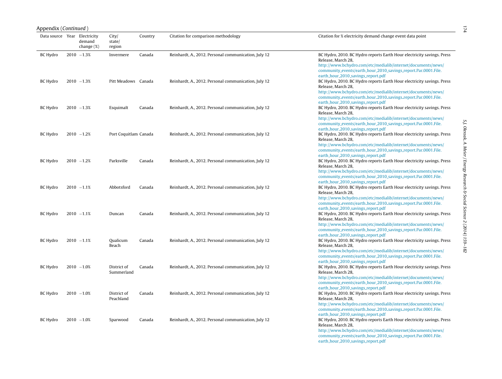|                              | Appendix (Continued) |                         |                           |         |                                                      |                                                                                                                                                                                                                                                                      |  |  |  |
|------------------------------|----------------------|-------------------------|---------------------------|---------|------------------------------------------------------|----------------------------------------------------------------------------------------------------------------------------------------------------------------------------------------------------------------------------------------------------------------------|--|--|--|
| Data source Year Electricity |                      | demand<br>change $(\%)$ | City/<br>state/<br>region | Country | Citation for comparison methodology                  | Citation for % electricity demand change event data point                                                                                                                                                                                                            |  |  |  |
| <b>BC Hydro</b>              |                      | $2010 - 1.3%$           | Invermere                 | Canada  | Reinhardt, A., 2012. Personal communication, July 12 | BC Hydro, 2010. BC Hydro reports Earth Hour electricity savings. Press<br>Release, March 28,<br>http://www.bchydro.com/etc/medialib/internet/documents/news/<br>community_events/earth_hour_2010_savings_report.Par.0001.File.<br>earth_hour_2010_savings_report.pdf |  |  |  |
| <b>BC Hydro</b>              |                      | $2010 - 1.3%$           | Pitt Meadows Canada       |         | Reinhardt, A., 2012. Personal communication, July 12 | BC Hydro, 2010. BC Hydro reports Earth Hour electricity savings. Press<br>Release, March 28,<br>http://www.bchydro.com/etc/medialib/internet/documents/news/<br>community_events/earth_hour_2010_savings_report.Par.0001.File.<br>earth_hour_2010_savings_report.pdf |  |  |  |
| <b>BC Hydro</b>              |                      | $2010 - 1.3%$           | Esquimalt                 | Canada  | Reinhardt, A., 2012. Personal communication, July 12 | BC Hydro, 2010. BC Hydro reports Earth Hour electricity savings. Press<br>Release, March 28,<br>http://www.bchydro.com/etc/medialib/internet/documents/news/<br>community_events/earth_hour_2010_savings_report.Par.0001.File.<br>earth_hour_2010_savings_report.pdf |  |  |  |
| <b>BC</b> Hydro              |                      | $2010 - 1.2%$           | Port Coquitlam Canada     |         | Reinhardt, A., 2012. Personal communication, July 12 | BC Hydro, 2010. BC Hydro reports Earth Hour electricity savings. Press<br>Release, March 28,<br>http://www.bchydro.com/etc/medialib/internet/documents/news/<br>community_events/earth_hour_2010_savings_report.Par.0001.File.<br>earth_hour_2010_savings_report.pdf |  |  |  |
| <b>BC</b> Hydro              |                      | $2010 - 1.2%$           | Parksville                | Canada  | Reinhardt, A., 2012. Personal communication, July 12 | BC Hydro, 2010. BC Hydro reports Earth Hour electricity savings. Press<br>Release, March 28,<br>http://www.bchydro.com/etc/medialib/internet/documents/news/<br>community_events/earth_hour_2010_savings_report.Par.0001.File.<br>earth_hour_2010_savings_report.pdf |  |  |  |
| BC Hydro                     |                      | $2010 - 1.1%$           | Abbotsford                | Canada  | Reinhardt, A., 2012. Personal communication, July 12 | BC Hydro, 2010. BC Hydro reports Earth Hour electricity savings. Press<br>Release, March 28,<br>http://www.bchydro.com/etc/medialib/internet/documents/news/<br>community_events/earth_hour_2010_savings_report.Par.0001.File.<br>earth_hour_2010_savings_report.pdf |  |  |  |
| <b>BC Hydro</b>              |                      | $2010 - 1.1%$           | Duncan                    | Canada  | Reinhardt, A., 2012. Personal communication, July 12 | BC Hydro, 2010. BC Hydro reports Earth Hour electricity savings. Press<br>Release, March 28,<br>http://www.bchydro.com/etc/medialib/internet/documents/news/<br>community_events/earth_hour_2010_savings_report.Par.0001.File.<br>earth_hour_2010_savings_report.pdf |  |  |  |
| <b>BC Hydro</b>              |                      | $2010 - 1.1%$           | Qualicum<br>Beach         | Canada  | Reinhardt, A., 2012. Personal communication, July 12 | BC Hydro, 2010. BC Hydro reports Earth Hour electricity savings. Press<br>Release, March 28,<br>http://www.bchydro.com/etc/medialib/internet/documents/news/<br>community_events/earth_hour_2010_savings_report.Par.0001.File.<br>earth_hour_2010_savings_report.pdf |  |  |  |
| <b>BC Hydro</b>              |                      | $2010 - 1.0%$           | District of<br>Summerland | Canada  | Reinhardt, A., 2012. Personal communication, July 12 | BC Hydro, 2010. BC Hydro reports Earth Hour electricity savings. Press<br>Release, March 28,<br>http://www.bchydro.com/etc/medialib/internet/documents/news/<br>community_events/earth_hour_2010_savings_report.Par.0001.File.<br>earth_hour_2010_savings_report.pdf |  |  |  |
| <b>BC Hydro</b>              |                      | $2010 - 1.0%$           | District of<br>Peachland  | Canada  | Reinhardt, A., 2012. Personal communication, July 12 | BC Hydro, 2010. BC Hydro reports Earth Hour electricity savings. Press<br>Release, March 28,<br>http://www.bchydro.com/etc/medialib/internet/documents/news/<br>community_events/earth_hour_2010_savings_report.Par.0001.File.<br>earth_hour_2010_savings_report.pdf |  |  |  |
| <b>BC Hydro</b>              |                      | $2010 - 1.0%$           | Sparwood                  | Canada  | Reinhardt, A., 2012. Personal communication, July 12 | BC Hydro, 2010. BC Hydro reports Earth Hour electricity savings. Press<br>Release, March 28,<br>http://www.bchydro.com/etc/medialib/internet/documents/news/<br>community_events/earth_hour_2010_savings_report.Par.0001.File.<br>earth_hour_2010_savings_report.pdf |  |  |  |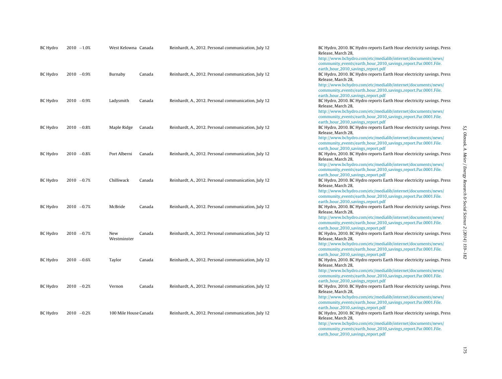| BC Hydro        | $2010 - 1.0%$ | West Kelowna Canada   |        | Reinhardt, A., 2012. Personal communication, July 12 | BC Hydro, 2010. BC Hydro reports Earth Hour electricity savings. Press<br>Release, March 28,<br>http://www.bchydro.com/etc/medialib/internet/documents/news/                                                                                                                                                                           |
|-----------------|---------------|-----------------------|--------|------------------------------------------------------|----------------------------------------------------------------------------------------------------------------------------------------------------------------------------------------------------------------------------------------------------------------------------------------------------------------------------------------|
| BC Hydro        | $2010 -0.9%$  | Burnaby               | Canada | Reinhardt, A., 2012. Personal communication, July 12 | community_events/earth_hour_2010_savings_report.Par.0001.File.<br>earth_hour_2010_savings_report.pdf<br>BC Hydro, 2010. BC Hydro reports Earth Hour electricity savings. Press<br>Release, March 28,<br>http://www.bchydro.com/etc/medialib/internet/documents/news/<br>community_events/earth_hour_2010_savings_report.Par.0001.File. |
| BC Hydro        | $2010 -0.9%$  | Ladysmith             | Canada | Reinhardt, A., 2012. Personal communication, July 12 | earth_hour_2010_savings_report.pdf<br>BC Hydro, 2010. BC Hydro reports Earth Hour electricity savings. Press<br>Release, March 28,<br>http://www.bchydro.com/etc/medialib/internet/documents/news/<br>community_events/earth_hour_2010_savings_report.Par.0001.File.                                                                   |
| BC Hydro        | $2010 -0.8%$  | Maple Ridge           | Canada | Reinhardt, A., 2012. Personal communication, July 12 | earth_hour_2010_savings_report.pdf<br>BC Hydro, 2010. BC Hydro reports Earth Hour electricity savings. Press<br>Release, March 28,<br>http://www.bchydro.com/etc/medialib/internet/documents/news/                                                                                                                                     |
| BC Hydro        | $2010 -0.8%$  | Port Alberni          | Canada | Reinhardt, A., 2012. Personal communication, July 12 | community_events/earth_hour_2010_savings_report.Par.0001.File.<br>earth_hour_2010_savings_report.pdf<br>BC Hydro, 2010. BC Hydro reports Earth Hour electricity savings. Press<br>Release, March 28,<br>http://www.bchydro.com/etc/medialib/internet/documents/news/                                                                   |
| BC Hydro        | $2010 - 0.7%$ | Chilliwack            | Canada | Reinhardt, A., 2012. Personal communication, July 12 | community_events/earth_hour_2010_savings_report.Par.0001.File.<br>earth_hour_2010_savings_report.pdf<br>BC Hydro, 2010. BC Hydro reports Earth Hour electricity savings. Press<br>Release, March 28,<br>http://www.bchydro.com/etc/medialib/internet/documents/news/                                                                   |
| BC Hydro        | $2010 -0.7%$  | McBride               | Canada | Reinhardt, A., 2012. Personal communication, July 12 | community_events/earth_hour_2010_savings_report.Par.0001.File.<br>earth_hour_2010_savings_report.pdf<br>BC Hydro, 2010. BC Hydro reports Earth Hour electricity savings. Press<br>Release, March 28,<br>http://www.bchydro.com/etc/medialib/internet/documents/news/                                                                   |
| BC Hydro        | $2010 -0.7%$  | New<br>Westminster    | Canada | Reinhardt, A., 2012. Personal communication, July 12 | community_events/earth_hour_2010_savings_report.Par.0001.File.<br>earth_hour_2010_savings_report.pdf<br>BC Hydro, 2010. BC Hydro reports Earth Hour electricity savings. Press<br>Release, March 28,<br>http://www.bchydro.com/etc/medialib/internet/documents/news/                                                                   |
| BC Hydro        | $2010 - 0.6%$ | Taylor                | Canada | Reinhardt, A., 2012. Personal communication, July 12 | community_events/earth_hour_2010_savings_report.Par.0001.File.<br>earth_hour_2010_savings_report.pdf<br>BC Hydro, 2010. BC Hydro reports Earth Hour electricity savings. Press<br>Release, March 28,<br>http://www.bchydro.com/etc/medialib/internet/documents/news/                                                                   |
| <b>BC Hydro</b> | $2010 -0.2%$  | Vernon                | Canada | Reinhardt, A., 2012. Personal communication, July 12 | community_events/earth_hour_2010_savings_report.Par.0001.File.<br>earth_hour_2010_savings_report.pdf<br>BC Hydro, 2010. BC Hydro reports Earth Hour electricity savings. Press<br>Release, March 28,<br>http://www.bchydro.com/etc/medialib/internet/documents/news/                                                                   |
| BC Hydro        | $2010 -0.2%$  | 100 Mile House Canada |        | Reinhardt, A., 2012. Personal communication, July 12 | community_events/earth_hour_2010_savings_report.Par.0001.File.<br>earth_hour_2010_savings_report.pdf<br>BC Hydro, 2010. BC Hydro reports Earth Hour electricity savings. Press<br>Release, March 28,<br>http://www.bchydro.com/etc/medialib/internet/documents/news/<br>community_events/earth_hour_2010_savings_report.Par.0001.File. |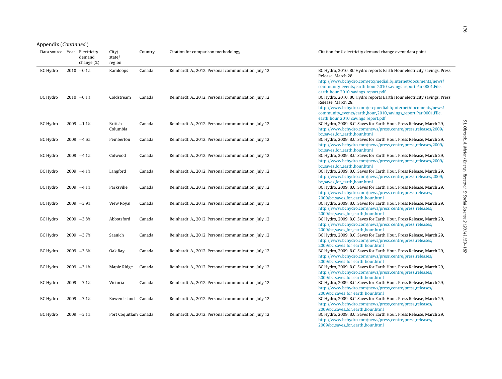#### Appendix (Continued )

| Data source Year Electricity | demand<br>change $(\%)$ | City/<br>state/<br>region  | Country | Citation for comparison methodology                  | Citation for % electricity demand change event data point                                                                                                                                                                                                            |
|------------------------------|-------------------------|----------------------------|---------|------------------------------------------------------|----------------------------------------------------------------------------------------------------------------------------------------------------------------------------------------------------------------------------------------------------------------------|
| <b>BC</b> Hydro              | $2010 -0.1%$            | Kamloops                   | Canada  | Reinhardt, A., 2012. Personal communication, July 12 | BC Hydro, 2010. BC Hydro reports Earth Hour electricity savings. Press<br>Release, March 28,<br>http://www.bchydro.com/etc/medialib/internet/documents/news/<br>community_events/earth_hour_2010_savings_report.Par.0001.File.                                       |
| BC Hydro                     | $2010 -0.1%$            | Coldstream                 | Canada  | Reinhardt, A., 2012. Personal communication, July 12 | earth_hour_2010_savings_report.pdf<br>BC Hydro, 2010. BC Hydro reports Earth Hour electricity savings. Press<br>Release, March 28,<br>http://www.bchydro.com/etc/medialib/internet/documents/news/<br>community_events/earth_hour_2010_savings_report.Par.0001.File. |
| <b>BC Hydro</b>              | $2009 - 1.1%$           | <b>British</b><br>Columbia | Canada  | Reinhardt, A., 2012. Personal communication, July 12 | earth_hour_2010_savings_report.pdf<br>BC Hydro, 2009. B.C. Saves for Earth Hour. Press Release, March 29,<br>http://www.bchydro.com/news/press_centre/press_releases/2009/<br>bc_saves_for_earth_hour.html                                                           |
| <b>BC Hydro</b>              | $2009 - 4.6%$           | Pemberton                  | Canada  | Reinhardt, A., 2012. Personal communication, July 12 | BC Hydro, 2009. B.C. Saves for Earth Hour. Press Release, March 29,<br>http://www.bchydro.com/news/press_centre/press_releases/2009/<br>bc_saves_for_earth_hour.html                                                                                                 |
| <b>BC Hydro</b>              | $2009 -4.1%$            | Colwood                    | Canada  | Reinhardt, A., 2012. Personal communication, July 12 | BC Hydro, 2009. B.C. Saves for Earth Hour. Press Release, March 29,<br>http://www.bchydro.com/news/press_centre/press_releases/2009/<br>bc_saves_for_earth_hour.html                                                                                                 |
| <b>BC Hydro</b>              | $2009 -4.1%$            | Langford                   | Canada  | Reinhardt, A., 2012. Personal communication, July 12 | BC Hydro, 2009. B.C. Saves for Earth Hour. Press Release, March 29,<br>http://www.bchydro.com/news/press_centre/press_releases/2009/<br>bc_saves_for_earth_hour.html                                                                                                 |
| <b>BC</b> Hydro              | $2009 -4.1%$            | Parksville                 | Canada  | Reinhardt, A., 2012. Personal communication, July 12 | BC Hydro, 2009. B.C. Saves for Earth Hour. Press Release, March 29,<br>http://www.bchydro.com/news/press_centre/press_releases/<br>2009/bc_saves_for_earth_hour.html                                                                                                 |
| <b>BC Hydro</b>              | $2009 - 3.9%$           | View Royal                 | Canada  | Reinhardt, A., 2012. Personal communication, July 12 | BC Hydro, 2009. B.C. Saves for Earth Hour. Press Release, March 29,<br>http://www.bchydro.com/news/press_centre/press_releases/<br>2009/bc_saves_for_earth_hour.html                                                                                                 |
| <b>BC Hydro</b>              | $2009 - 3.8%$           | Abbotsford                 | Canada  | Reinhardt, A., 2012. Personal communication, July 12 | BC Hydro, 2009. B.C. Saves for Earth Hour. Press Release, March 29,<br>http://www.bchydro.com/news/press_centre/press_releases/<br>2009/bc_saves_for_earth_hour.html                                                                                                 |
| <b>BC Hydro</b>              | $2009 - 3.7%$           | Saanich                    | Canada  | Reinhardt, A., 2012. Personal communication, July 12 | BC Hydro, 2009. B.C. Saves for Earth Hour. Press Release, March 29,<br>http://www.bchydro.com/news/press_centre/press_releases/<br>2009/bc_saves_for_earth_hour.html                                                                                                 |
| <b>BC Hydro</b>              | $2009 - 3.3%$           | Oak Bay                    | Canada  | Reinhardt, A., 2012. Personal communication, July 12 | BC Hydro, 2009. B.C. Saves for Earth Hour. Press Release, March 29,<br>http://www.bchydro.com/news/press_centre/press_releases/<br>2009/bc_saves_for_earth_hour.html                                                                                                 |
| <b>BC Hydro</b>              | $2009 - 3.1%$           | Maple Ridge                | Canada  | Reinhardt, A., 2012. Personal communication, July 12 | BC Hydro, 2009. B.C. Saves for Earth Hour. Press Release, March 29,<br>http://www.bchydro.com/news/press_centre/press_releases/<br>2009/bc_saves_for_earth_hour.html                                                                                                 |
| BC Hydro                     | $2009 - 3.1%$           | Victoria                   | Canada  | Reinhardt, A., 2012. Personal communication, July 12 | BC Hydro, 2009. B.C. Saves for Earth Hour. Press Release, March 29,<br>http://www.bchydro.com/news/press_centre/press_releases/<br>2009/bc_saves_for_earth_hour.html                                                                                                 |
| <b>BC</b> Hydro              | $2009 - 3.1%$           | Bowen Island Canada        |         | Reinhardt, A., 2012. Personal communication, July 12 | BC Hydro, 2009. B.C. Saves for Earth Hour. Press Release, March 29,<br>http://www.bchydro.com/news/press_centre/press_releases/<br>2009/bc_saves_for_earth_hour.html                                                                                                 |
| <b>BC Hydro</b>              | $2009 - 3.1%$           | Port Coquitlam Canada      |         | Reinhardt, A., 2012. Personal communication, July 12 | BC Hydro, 2009. B.C. Saves for Earth Hour. Press Release, March 29,<br>http://www.bchydro.com/news/press_centre/press_releases/<br>2009/bc_saves_for_earth_hour.html                                                                                                 |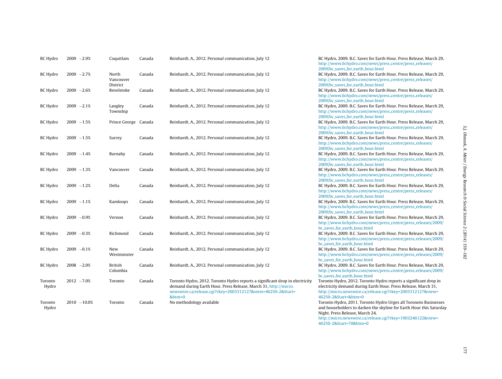| <b>BC Hydro</b>  | $2009 - 2.9%$ |                | Coquitlam                  | Canada | Reinhardt, A., 2012. Personal communication, July 12                                                                                                                                                                      | BC Hydro, 2009. B.C. Saves for Earth Hour. Press Release, March 29,<br>http://www.bchydro.com/news/press_centre/press_releases/<br>2009/bc_saves_for_earth_hour.html                                                                                     |
|------------------|---------------|----------------|----------------------------|--------|---------------------------------------------------------------------------------------------------------------------------------------------------------------------------------------------------------------------------|----------------------------------------------------------------------------------------------------------------------------------------------------------------------------------------------------------------------------------------------------------|
| BC Hydro         | $2009 - 2.7%$ |                | North<br>Vancouver         | Canada | Reinhardt, A., 2012. Personal communication, July 12                                                                                                                                                                      | BC Hydro, 2009. B.C. Saves for Earth Hour. Press Release, March 29,<br>http://www.bchydro.com/news/press_centre/press_releases/                                                                                                                          |
| <b>BC Hydro</b>  | $2009 - 2.6%$ |                | District<br>Revelstoke     | Canada | Reinhardt, A., 2012. Personal communication, July 12                                                                                                                                                                      | 2009/bc_saves_for_earth_hour.html<br>BC Hydro, 2009. B.C. Saves for Earth Hour. Press Release, March 29,<br>http://www.bchydro.com/news/press_centre/press_releases/                                                                                     |
| <b>BC Hydro</b>  | $2009 - 2.1%$ |                | Langley<br>Township        | Canada | Reinhardt, A., 2012. Personal communication, July 12                                                                                                                                                                      | 2009/bc_saves_for_earth_hour.html<br>BC Hydro, 2009. B.C. Saves for Earth Hour. Press Release, March 29,<br>http://www.bchydro.com/news/press_centre/press_releases/                                                                                     |
| <b>BC Hydro</b>  | $2009 - 1.5%$ |                | Prince George Canada       |        | Reinhardt, A., 2012. Personal communication, July 12                                                                                                                                                                      | 2009/bc_saves_for_earth_hour.html<br>BC Hydro, 2009. B.C. Saves for Earth Hour. Press Release, March 29,<br>http://www.bchydro.com/news/press_centre/press_releases/                                                                                     |
| BC Hydro         | $2009 - 1.5%$ |                | Surrey                     | Canada | Reinhardt, A., 2012. Personal communication, July 12                                                                                                                                                                      | 2009/bc_saves_for_earth_hour.html<br>BC Hydro, 2009. B.C. Saves for Earth Hour. Press Release, March 29,<br>http://www.bchydro.com/news/press_centre/press_releases/                                                                                     |
| <b>BC Hydro</b>  | $2009 - 1.4%$ |                | Burnaby                    | Canada | Reinhardt, A., 2012. Personal communication, July 12                                                                                                                                                                      | 2009/bc_saves_for_earth_hour.html<br>BC Hydro, 2009. B.C. Saves for Earth Hour. Press Release, March 29,<br>http://www.bchydro.com/news/press_centre/press_releases/                                                                                     |
| BC Hydro         | $2009 - 1.3%$ |                | Vancouver                  | Canada | Reinhardt, A., 2012. Personal communication, July 12                                                                                                                                                                      | 2009/bc_saves_for_earth_hour.html<br>BC Hydro, 2009. B.C. Saves for Earth Hour. Press Release, March 29,<br>http://www.bchydro.com/news/press_centre/press_releases/                                                                                     |
| <b>BC Hydro</b>  | $2009 - 1.2%$ |                | Delta                      | Canada | Reinhardt, A., 2012. Personal communication, July 12                                                                                                                                                                      | 2009/bc_saves_for_earth_hour.html<br>BC Hydro, 2009. B.C. Saves for Earth Hour. Press Release, March 29,<br>http://www.bchydro.com/news/press_centre/press_releases/                                                                                     |
| BC Hydro         | $2009 - 1.1%$ |                | Kamloops                   | Canada | Reinhardt, A., 2012. Personal communication, July 12                                                                                                                                                                      | 2009/bc_saves_for_earth_hour.html<br>BC Hydro, 2009. B.C. Saves for Earth Hour. Press Release, March 29,<br>http://www.bchydro.com/news/press_centre/press_releases/                                                                                     |
| BC Hydro         | $2009 -0.9%$  |                | Vernon                     | Canada | Reinhardt, A., 2012. Personal communication, July 12                                                                                                                                                                      | 2009/bc_saves_for_earth_hour.html<br>BC Hydro, 2009. B.C. Saves for Earth Hour. Press Release, March 29,<br>http://www.bchydro.com/news/press_centre/press_releases/2009/                                                                                |
| <b>BC Hydro</b>  | $2009 -0.3%$  |                | Richmond                   | Canada | Reinhardt, A., 2012. Personal communication, July 12                                                                                                                                                                      | bc_saves_for_earth_hour.html<br>BC Hydro, 2009. B.C. Saves for Earth Hour. Press Release, March 29,<br>http://www.bchydro.com/news/press_centre/press_releases/2009/                                                                                     |
| <b>BC Hydro</b>  | $2009 -0.1%$  |                | New<br>Westminster         | Canada | Reinhardt, A., 2012. Personal communication, July 12                                                                                                                                                                      | bc_saves_for_earth_hour.html<br>BC Hydro, 2009. B.C. Saves for Earth Hour. Press Release, March 29,<br>http://www.bchydro.com/news/press_centre/press_releases/2009/                                                                                     |
| <b>BC Hydro</b>  | $2008 - 2.0%$ |                | <b>British</b><br>Columbia | Canada | Reinhardt, A., 2012. Personal communication, July 12                                                                                                                                                                      | bc_saves_for_earth_hour.html<br>BC Hydro, 2009. B.C. Saves for Earth Hour. Press Release, March 29,<br>http://www.bchydro.com/news/press_centre/press_releases/2009/                                                                                     |
| Toronto<br>Hydro | $2012 - 7.0%$ |                | Toronto                    | Canada | Toronto Hydro, 2012. Toronto Hydro reports a significant drop in electricity<br>demand during Earth Hour. Press Release, March 31, http://micro.<br>newswire.ca/release.cgi?rkey=2003312127&view=46250-2&Start=<br>&htm=0 | bc_saves_for_earth_hour.html<br>Toronto Hydro, 2012. Toronto Hydro reports a significant drop in<br>electricity demand during Earth Hour. Press Release, March 31,<br>http://micro.newswire.ca/release.cgi?rkey=2003312127&view=<br>46250-2&Start=&htm=0 |
| Toronto<br>Hydro |               | $2010 - 10.0%$ | Toronto                    | Canada | No methodology available                                                                                                                                                                                                  | Toronto Hydro, 2011. Toronto Hydro Urges all Toronoto Businesses<br>and householders to darken the skyline for Earth Hour this Saturday<br>Night, Press Release, March 24,                                                                               |

[http://micro.newswire.ca/release.cgi?rkey=1903246122&view=](http://micro.newswire.ca/release.cgi?rkey=1903246122&view=46250-2&Start=70&htm=0) [46250-2&Start=70&htm=0](http://micro.newswire.ca/release.cgi?rkey=1903246122&view=46250-2&Start=70&htm=0)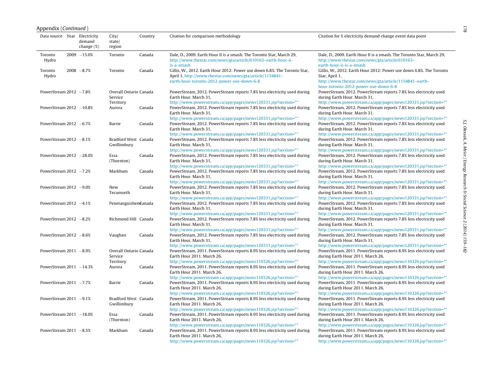| Appendix ( <i>Continued</i> ) |                         |                                     |         |                                                                                                                                                                                                                                          |                                                                                                                                                                                                                                          |
|-------------------------------|-------------------------|-------------------------------------|---------|------------------------------------------------------------------------------------------------------------------------------------------------------------------------------------------------------------------------------------------|------------------------------------------------------------------------------------------------------------------------------------------------------------------------------------------------------------------------------------------|
| Data source Year Electricity  | demand<br>change $(\%)$ | City/<br>state/<br>region           | Country | Citation for comparison methodology                                                                                                                                                                                                      | Citation for % electricity demand change event data point                                                                                                                                                                                |
| Toronto<br>Hydro              | $2009 - 15.0%$          | Toronto                             | Canada  | Dale, D., 2009. Earth Hour II is a smash. The Toronto Star, March 29,<br>http://www.thestar.com/news/gta/article/610163-earth-hour-ii-<br>is-a-smash                                                                                     | Dale, D., 2009. Earth Hour II is a smash. The Toronto Star, March 29,<br>http://www.thestar.com/news/gta/article/610163-<br>earth-hour-ii-is-a-smash                                                                                     |
| Toronto<br>Hydro              | $2008 - 8.7%$           | Toronto                             | Canada  | Gillis, W., 2012. Earth Hour 2012: Power use down 6.8%. The Toronto Star,<br>April 1, http://www.thestar.com/news/gta/article/1154841-<br>earth-hour-toronto-2012-power-use-down-6-8                                                     | Gillis, W., 2012. Earth Hour 2012: Power use down 6.8%. The Toronto<br>Star, April 1,<br>http://www.thestar.com/news/gta/article/1154841-earth-<br>hour-toronto-2012-power-use-down-6-8                                                  |
| PowerStream $2012 -7.8%$      |                         | Overall Ontario Canada<br>Service   |         | PowerStream, 2012. PowerStream reports 7.8% less electricity used during<br>Earth Hour, March 31,                                                                                                                                        | PowerStream, 2012. PowerStream reports 7.8% less electricity used<br>during Earth Hour, March 31,                                                                                                                                        |
| PowerStream $2012 -10.8%$     |                         | Territory<br>Aurora                 | Canada  | http://www.powerstream.ca/app/pages/news120331.jsp?section=**<br>PowerStream, 2012. PowerStream reports 7.8% less electricity used during<br>Earth Hour, March 31,                                                                       | http://www.powerstream.ca/app/pages/news120331.jsp?section=**<br>PowerStream, 2012. PowerStream reports 7.8% less electricity used<br>during Earth Hour, March 31,                                                                       |
| PowerStream $2012 - 6.7%$     |                         | Barrie                              | Canada  | http://www.powerstream.ca/app/pages/news120331.jsp?section=**<br>PowerStream, 2012. PowerStream reports 7.8% less electricity used during<br>Earth Hour, March 31,                                                                       | http://www.powerstream.ca/app/pages/news120331.jsp?section=**<br>PowerStream, 2012. PowerStream reports 7.8% less electricity used<br>during Earth Hour, March 31,                                                                       |
| PowerStream $2012 -8.1%$      |                         | Bradford West Canada<br>Gwillimbury |         | http://www.powerstream.ca/app/pages/news120331.jsp?section=**<br>PowerStream, 2012. PowerStream reports 7.8% less electricity used during<br>Earth Hour. March 31,                                                                       | http://www.powerstream.ca/app/pages/news120331.jsp?section=**<br>PowerStream, 2012. PowerStream reports 7.8% less electricity used<br>during Earth Hour. March 31,                                                                       |
| PowerStream 2012 -28.0%       |                         | Essa<br>(Thornton)                  | Canada  | http://www.powerstream.ca/app/pages/news120331.jsp?section=**<br>PowerStream, 2012. PowerStream reports 7.8% less electricity used during<br>Earth Hour. March 31,                                                                       | http://www.powerstream.ca/app/pages/news120331.jsp?section=**<br>PowerStream, 2012. PowerStream reports 7.8% less electricity used<br>during Earth Hour. March 31,                                                                       |
| PowerStream $2012 -7.2%$      |                         | Markham                             | Canada  | http://www.powerstream.ca/app/pages/news120331.jsp?section=**<br>PowerStream, 2012. PowerStream reports 7.8% less electricity used during<br>Earth Hour. March 31,                                                                       | http://www.powerstream.ca/app/pages/news120331.jsp?section=**<br>PowerStream, 2012. PowerStream reports 7.8% less electricity used<br>during Earth Hour. March 31,                                                                       |
| PowerStream $2012 -9.0%$      |                         | New<br>Tecumseth                    | Canada  | http://www.powerstream.ca/app/pages/news120331.jsp?section=**<br>PowerStream, 2012. PowerStream reports 7.8% less electricity used during<br>Earth Hour. March 31,                                                                       | http://www.powerstream.ca/app/pages/news120331.jsp?section=**<br>PowerStream, 2012. PowerStream reports 7.8% less electricity used<br>during Earth Hour. March 31,                                                                       |
| PowerStream $2012 -4.1%$      |                         | Penetanguishen@anada                |         | http://www.powerstream.ca/app/pages/news120331.jsp?section=**<br>PowerStream, 2012. PowerStream reports 7.8% less electricity used during<br>Earth Hour. March 31,<br>http://www.powerstream.ca/app/pages/news120331.jsp?section=**      | http://www.powerstream.ca/app/pages/news120331.jsp?section=**<br>PowerStream, 2012. PowerStream reports 7.8% less electricity used<br>during Earth Hour. March 31,<br>http://www.powerstream.ca/app/pages/news120331.jsp?section=**      |
| PowerStream $2012 - 8.2%$     |                         | Richmond Hill Canada                |         | PowerStream, 2012. PowerStream reports 7.8% less electricity used during<br>Earth Hour. March 31,                                                                                                                                        | PowerStream, 2012. PowerStream reports 7.8% less electricity used<br>during Earth Hour. March 31,                                                                                                                                        |
| PowerStream $2012 - 8.6%$     |                         | Vaughan                             | Canada  | http://www.powerstream.ca/app/pages/news120331.jsp?section=**<br>PowerStream, 2012. PowerStream reports 7.8% less electricity used during<br>Earth Hour, March 31,                                                                       | http://www.powerstream.ca/app/pages/news120331.jsp?section=**<br>PowerStream, 2012. PowerStream reports 7.8% less electricity used<br>during Earth Hour. March 31,                                                                       |
| PowerStream $2011 - 8.9%$     |                         | Overall Ontario Canada<br>Service   |         | http://www.powerstream.ca/app/pages/news120331.jsp?section=**<br>PowerStream, 2011. PowerStream reports 8.9% less electricity used during<br>Earth Hour 2011. March 26,                                                                  | http://www.powerstream.ca/app/pages/news120331.jsp?section=**<br>PowerStream, 2011. PowerStream reports 8.9% less electricity used<br>during Earth Hour 2011. March 26,                                                                  |
| PowerStream $2011 - 14.3%$    |                         | Territory<br>Aurora                 | Canada  | http://www.powerstream.ca/app/pages/news110326.jsp?section=**<br>PowerStream, 2011. PowerStream reports 8.9% less electricity used during<br>Earth Hour 2011. March 26,                                                                  | http://www.powerstream.ca/app/pages/news110326.jsp?section=**<br>PowerStream, 2011. PowerStream reports 8.9% less electricity used<br>during Earth Hour 2011. March 26,                                                                  |
| PowerStream $2011 - 7.7%$     |                         | Barrie                              | Canada  | http://www.powerstream.ca/app/pages/news110326.jsp?section=**<br>PowerStream, 2011. PowerStream reports 8.9% less electricity used during<br>Earth Hour 2011. March 26,                                                                  | http://www.powerstream.ca/app/pages/news110326.jsp?section=**<br>PowerStream, 2011. PowerStream reports 8.9% less electricity used<br>during Earth Hour 2011. March 26,                                                                  |
| PowerStream $2011 -9.1%$      |                         | Bradford West Canada<br>Gwillimbury |         | http://www.powerstream.ca/app/pages/news110326.jsp?section=**<br>PowerStream, 2011. PowerStream reports 8.9% less electricity used during<br>Earth Hour 2011. March 26,                                                                  | http://www.powerstream.ca/app/pages/news110326.jsp?section=**<br>PowerStream, 2011. PowerStream reports 8.9% less electricity used<br>during Earth Hour 2011. March 26,                                                                  |
| PowerStream $2011 - 18.0\%$   |                         | Essa<br>(Thornton)                  | Canada  | http://www.powerstream.ca/app/pages/news110326.jsp?section=**<br>PowerStream, 2011. PowerStream reports 8.9% less electricity used during<br>Earth Hour 2011. March 26,                                                                  | http://www.powerstream.ca/app/pages/news110326.jsp?section=**<br>PowerStream, 2011. PowerStream reports 8.9% less electricity used<br>during Earth Hour 2011. March 26,                                                                  |
| PowerStream $2011 - 8.5%$     |                         | Markham                             | Canada  | http://www.powerstream.ca/app/pages/news110326.jsp?section=**<br>PowerStream, 2011. PowerStream reports 8.9% less electricity used during<br>Earth Hour 2011. March 26,<br>http://www.powerstream.ca/app/pages/news110326.jsp?section=** | http://www.powerstream.ca/app/pages/news110326.jsp?section=**<br>PowerStream, 2011. PowerStream reports 8.9% less electricity used<br>during Earth Hour 2011. March 26,<br>http://www.powerstream.ca/app/pages/news110326.jsp?section=** |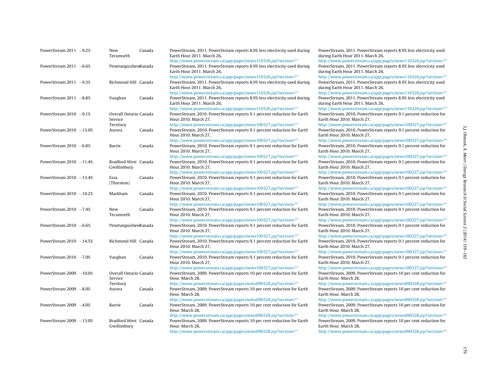| PowerStream $2011 -9.2%$   | New<br>Tecumseth                    | Canada | PowerStream, 2011. PowerStream reports 8.9% less electricity used during<br>Earth Hour 2011. March 26,                                                                  | PowerStream, 2011. PowerStream reports 8.9% less electricity used<br>during Earth Hour 2011. March 26,                                                                  |
|----------------------------|-------------------------------------|--------|-------------------------------------------------------------------------------------------------------------------------------------------------------------------------|-------------------------------------------------------------------------------------------------------------------------------------------------------------------------|
| PowerStream $2011 - 6.6%$  | Penetanguisheneanada                |        | http://www.powerstream.ca/app/pages/news110326.jsp?section=**<br>PowerStream, 2011. PowerStream reports 8.9% less electricity used during<br>Earth Hour 2011. March 26, | http://www.powerstream.ca/app/pages/news110326.jsp?section=**<br>PowerStream, 2011. PowerStream reports 8.9% less electricity used<br>during Earth Hour 2011. March 26, |
| PowerStream $2011 -9.3%$   | Richmond Hill Canada                |        | http://www.powerstream.ca/app/pages/news110326.jsp?section=**<br>PowerStream, 2011. PowerStream reports 8.9% less electricity used during<br>Earth Hour 2011. March 26, | http://www.powerstream.ca/app/pages/news110326.jsp?section=**<br>PowerStream, 2011. PowerStream reports 8.9% less electricity used<br>during Earth Hour 2011. March 26, |
| PowerStream $2011 - 8.8\%$ | Vaughan                             | Canada | http://www.powerstream.ca/app/pages/news110326.jsp?section=**<br>PowerStream, 2011. PowerStream reports 8.9% less electricity used during<br>Earth Hour 2011. March 26, | http://www.powerstream.ca/app/pages/news110326.jsp?section=**<br>PowerStream, 2011. PowerStream reports 8.9% less electricity used<br>during Earth Hour 2011. March 26, |
| PowerStream $2010 -9.1\%$  | Overall Ontario Canada<br>Service   |        | http://www.powerstream.ca/app/pages/news110326.jsp?section=**<br>PowerStream, 2010. PowerStream reports 9.1 percent reduction for Earth<br>Hour 2010. March 27,         | http://www.powerstream.ca/app/pages/news110326.jsp?section=**<br>PowerStream, 2010. PowerStream reports 9.1 percent reduction for<br>Earth Hour 2010. March 27,         |
| PowerStream $2010 -13.0%$  | Territory<br>Aurora                 | Canada | http://www.powerstream.ca/app/pages/news100327.jsp?section=**<br>PowerStream, 2010. PowerStream reports 9.1 percent reduction for Earth<br>Hour 2010. March 27,         | http://www.powerstream.ca/app/pages/news100327.jsp?section=**<br>PowerStream, 2010. PowerStream reports 9.1 percent reduction for<br>Earth Hour 2010. March 27,         |
| PowerStream $2010 - 6.8%$  | Barrie                              | Canada | http://www.powerstream.ca/app/pages/news100327.jsp?section=**<br>PowerStream, 2010. PowerStream reports 9.1 percent reduction for Earth<br>Hour 2010, March 27,         | http://www.powerstream.ca/app/pages/news100327.jsp?section=**<br>PowerStream, 2010. PowerStream reports 9.1 percent reduction for<br>Earth Hour 2010. March 27,         |
| PowerStream $2010 -11.4%$  | Bradford West Canada<br>Gwillimbury |        | http://www.powerstream.ca/app/pages/news100327.jsp?section=**<br>PowerStream, 2010. PowerStream reports 9.1 percent reduction for Earth<br>Hour 2010. March 27,         | http://www.powerstream.ca/app/pages/news100327.jsp?section=**<br>PowerStream, 2010. PowerStream reports 9.1 percent reduction for<br>Earth Hour 2010. March 27,         |
| PowerStream $2010 -13.4%$  | Essa<br>(Thornton)                  | Canada | http://www.powerstream.ca/app/pages/news100327.jsp?section=**<br>PowerStream, 2010. PowerStream reports 9.1 percent reduction for Earth<br>Hour 2010. March 27,         | http://www.powerstream.ca/app/pages/news100327.jsp?section=**<br>PowerStream, 2010. PowerStream reports 9.1 percent reduction for<br>Earth Hour 2010. March 27,         |
| PowerStream $2010 -10.2%$  | Markham                             | Canada | http://www.powerstream.ca/app/pages/news100327.jsp?section=**<br>PowerStream, 2010. PowerStream reports 9.1 percent reduction for Earth<br>Hour 2010. March 27,         | http://www.powerstream.ca/app/pages/news100327.jsp?section=**<br>PowerStream, 2010. PowerStream reports 9.1 percent reduction for<br>Earth Hour 2010. March 27,         |
| PowerStream $2010 -7.4%$   | New<br>Tecumseth                    | Canada | http://www.powerstream.ca/app/pages/news100327.jsp?section=**<br>PowerStream, 2010. PowerStream reports 9.1 percent reduction for Earth<br>Hour 2010. March 27,         | http://www.powerstream.ca/app/pages/news100327.jsp?section=**<br>PowerStream, 2010. PowerStream reports 9.1 percent reduction for<br>Earth Hour 2010. March 27,         |
| PowerStream $2010 - 6.6%$  | Penetanguishen@anada                |        | http://www.powerstream.ca/app/pages/news100327.jsp?section=**<br>PowerStream, 2010. PowerStream reports 9.1 percent reduction for Earth<br>Hour 2010. March 27,         | http://www.powerstream.ca/app/pages/news100327.jsp?section=**<br>PowerStream, 2010. PowerStream reports 9.1 percent reduction for<br>Earth Hour 2010. March 27,         |
| PowerStream $2010 -14.5%$  | Richmond Hill Canada                |        | http://www.powerstream.ca/app/pages/news100327.jsp?section=**<br>PowerStream, 2010. PowerStream reports 9.1 percent reduction for Earth<br>Hour 2010, March 27,         | http://www.powerstream.ca/app/pages/news100327.jsp?section=**<br>PowerStream, 2010. PowerStream reports 9.1 percent reduction for<br>Earth Hour 2010. March 27,         |
| PowerStream $2010 -7.0%$   | Vaughan                             | Canada | http://www.powerstream.ca/app/pages/news100327.jsp?section=**<br>PowerStream, 2010. PowerStream reports 9.1 percent reduction for Earth<br>Hour 2010. March 27,         | http://www.powerstream.ca/app/pages/news100327.jsp?section=**<br>PowerStream, 2010. PowerStream reports 9.1 percent reduction for<br>Earth Hour 2010. March 27,         |
| PowerStream $2009 - 10.0%$ | Overall Ontario Canada<br>Service   |        | http://www.powerstream.ca/app/pages/news100327.jsp?section=**<br>PowerStream, 2009. PowerStream reports 10 per cent reduction for Earth<br>Hour. March 28,              | http://www.powerstream.ca/app/pages/news100327.jsp?section=**<br>PowerStream, 2009. PowerStream reports 10 per cent reduction for<br>Earth Hour. March 28,              |
| PowerStream $2009 - 8.0\%$ | Territory<br>Aurora                 | Canada | http://www.powerstream.ca/app/pages/news090328.jsp?section=**<br>PowerStream, 2009. PowerStream reports 10 per cent reduction for Earth<br>Hour. March 28,              | http://www.powerstream.ca/app/pages/news090328.jsp?section=**<br>PowerStream, 2009. PowerStream reports 10 per cent reduction for<br>Earth Hour, March 28,              |
| PowerStream $2009 -4.0%$   | Barrie                              | Canada | http://www.powerstream.ca/app/pages/news090328.jsp?section=**<br>PowerStream, 2009. PowerStream reports 10 per cent reduction for Earth<br>Hour. March 28,              | http://www.powerstream.ca/app/pages/news090328.jsp?section=**<br>PowerStream, 2009. PowerStream reports 10 per cent reduction for<br>Earth Hour. March 28,              |
| PowerStream 2009 -13.0%    | Bradford West Canada<br>Gwillimbury |        | http://www.powerstream.ca/app/pages/news090328.jsp?section=**<br>PowerStream, 2009. PowerStream reports 10 per cent reduction for Earth<br>Hour. March 28,              | http://www.powerstream.ca/app/pages/news090328.jsp?section=**<br>PowerStream, 2009. PowerStream reports 10 per cent reduction for<br>Earth Hour. March 28,              |
|                            |                                     |        | http://www.powerstream.ca/app/pages/news090328.jsp?section=**                                                                                                           | http://www.powerstream.ca/app/pages/news090328.jsp?section=**                                                                                                           |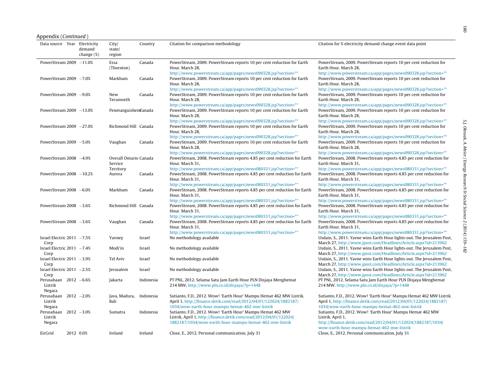|  | Appendix (Continued) |
|--|----------------------|
|  |                      |

| Data source Year Electricity                 | demand<br>change (%) | City/<br>state/<br>region         | Country   | Citation for comparison methodology                                                                                                                                                                                         | Citation for % electricity demand change event data point                                                                                                                                                                   |
|----------------------------------------------|----------------------|-----------------------------------|-----------|-----------------------------------------------------------------------------------------------------------------------------------------------------------------------------------------------------------------------------|-----------------------------------------------------------------------------------------------------------------------------------------------------------------------------------------------------------------------------|
| PowerStream $2009 - 11.0%$                   |                      | Essa<br>(Thornton)                | Canada    | PowerStream, 2009. PowerStream reports 10 per cent reduction for Earth<br>Hour. March 28,                                                                                                                                   | PowerStream, 2009. PowerStream reports 10 per cent reduction for<br>Earth Hour. March 28,                                                                                                                                   |
| PowerStream $2009 -7.0%$                     |                      | Markham                           | Canada    | http://www.powerstream.ca/app/pages/news090328.jsp?section=**<br>PowerStream, 2009. PowerStream reports 10 per cent reduction for Earth<br>Hour. March 28,<br>http://www.powerstream.ca/app/pages/news090328.jsp?section=** | http://www.powerstream.ca/app/pages/news090328.jsp?section=**<br>PowerStream, 2009. PowerStream reports 10 per cent reduction for<br>Earth Hour, March 28,<br>http://www.powerstream.ca/app/pages/news090328.jsp?section=** |
| PowerStream $2009 - 9.0\%$                   |                      | New<br>Tecumseth                  | Canada    | PowerStream, 2009. PowerStream reports 10 per cent reduction for Earth<br>Hour. March 28,                                                                                                                                   | PowerStream, 2009. PowerStream reports 10 per cent reduction for<br>Earth Hour, March 28,                                                                                                                                   |
| PowerStream 2009 -13.0%                      |                      | Penetanguishen@anada              |           | http://www.powerstream.ca/app/pages/news090328.jsp?section=**<br>PowerStream, 2009. PowerStream reports 10 per cent reduction for Earth<br>Hour. March 28,                                                                  | http://www.powerstream.ca/app/pages/news090328.jsp?section=**<br>PowerStream, 2009. PowerStream reports 10 per cent reduction for<br>Earth Hour, March 28,                                                                  |
| PowerStream 2009 -27.0%                      |                      | Richmond Hill Canada              |           | http://www.powerstream.ca/app/pages/news090328.jsp?section=**<br>PowerStream, 2009. PowerStream reports 10 per cent reduction for Earth<br>Hour. March 28,                                                                  | http://www.powerstream.ca/app/pages/news090328.jsp?section=**<br>PowerStream, 2009. PowerStream reports 10 per cent reduction for<br>Earth Hour. March 28,                                                                  |
| PowerStream $2009 - 5.0%$                    |                      | Vaughan                           | Canada    | http://www.powerstream.ca/app/pages/news090328.jsp?section=**<br>PowerStream, 2009. PowerStream reports 10 per cent reduction for Earth<br>Hour. March 28,                                                                  | http://www.powerstream.ca/app/pages/news090328.jsp?section=**<br>PowerStream, 2009. PowerStream reports 10 per cent reduction for<br>Earth Hour, March 28,                                                                  |
| PowerStream 2008 -4.9%                       |                      | Overall Ontario Canada<br>Service |           | http://www.powerstream.ca/app/pages/news090328.jsp?section=**<br>PowerStream, 2008. PowerStream reports 4.85 per cent reduction for Earth<br>Hour. March 31,                                                                | http://www.powerstream.ca/app/pages/news090328.jsp?section=**<br>PowerStream, 2008. PowerStream reports 4.85 per cent reduction for<br>Earth Hour. March 31,                                                                |
| PowerStream $2008 -10.2%$                    |                      | Territory<br>Aurora               | Canada    | http://www.powerstream.ca/app/pages/news080331.jsp?section=**<br>PowerStream, 2008. PowerStream reports 4.85 per cent reduction for Earth<br>Hour. March 31,                                                                | http://www.powerstream.ca/app/pages/news080331.jsp?section=**<br>PowerStream, 2008. PowerStream reports 4.85 per cent reduction for<br>Earth Hour, March 31,                                                                |
| PowerStream $2008 - 6.0%$                    |                      | Markham                           | Canada    | http://www.powerstream.ca/app/pages/news080331.jsp?section=**<br>PowerStream, 2008. PowerStream reports 4.85 per cent reduction for Earth<br>Hour. March 31,                                                                | http://www.powerstream.ca/app/pages/news080331.jsp?section=**<br>PowerStream, 2008. PowerStream reports 4.85 per cent reduction for<br>Earth Hour. March 31,                                                                |
| PowerStream $2008 -3.6%$                     |                      | Richmond Hill Canada              |           | http://www.powerstream.ca/app/pages/news080331.jsp?section=**<br>PowerStream, 2008. PowerStream reports 4.85 per cent reduction for Earth<br>Hour. March 31,                                                                | http://www.powerstream.ca/app/pages/news080331.jsp?section=**<br>PowerStream, 2008. PowerStream reports 4.85 per cent reduction for<br>Earth Hour, March 31,                                                                |
| PowerStream $2008 -3.6%$                     |                      | Vaughan                           | Canada    | http://www.powerstream.ca/app/pages/news080331.jsp?section=**<br>PowerStream, 2008. PowerStream reports 4.85 per cent reduction for Earth<br>Hour. March 31.                                                                | http://www.powerstream.ca/app/pages/news080331.jsp?section=**<br>PowerStream, 2008. PowerStream reports 4.85 per cent reduction for<br>Earth Hour, March 31,                                                                |
| Israel Electric 2011 -7.5%<br>Corp           |                      | Yavney                            | Israel    | http://www.powerstream.ca/app/pages/news080331.jsp?section=**<br>No methodology available                                                                                                                                   | http://www.powerstream.ca/app/pages/news080331.jsp?section=**<br>Usdain, S., 2011. Yavne wins Earth Hour lights-out. The Jerusalem Post,<br>March 27, http://www.jpost.com/Headlines/Article.aspx?id=213962                 |
| Israel Electric 2011 -7.4%<br>Corp           |                      | Modi'in                           | Israel    | No methodology available                                                                                                                                                                                                    | Usdain, S., 2011. Yavne wins Earth Hour lights-out. The Jerusalem Post,<br>March 27, http://www.jpost.com/Headlines/Article.aspx?id=213962                                                                                  |
| Israel Electric 2011 -3.9%<br>Corp           |                      | Tel Aviv                          | Israel    | No methodology available                                                                                                                                                                                                    | Usdain, S., 2011. Yavne wins Earth Hour lights-out. The Jerusalem Post,<br>March 27, http://www.jpost.com/Headlines/Article.aspx?id=213962                                                                                  |
| Israel Electric 2011 -2.5%<br>Corp           |                      | Jerusalem                         | Israel    | No methodology available                                                                                                                                                                                                    | Usdain, S., 2011. Yavne wins Earth Hour lights-out. The Jerusalem Post,<br>March 27, http://www.jpost.com/Headlines/Article.aspx?id=213962                                                                                  |
| Perusahaan 2012 -6.6%<br>Listrik<br>Negara   |                      | Jakarta                           | Indonesia | PT PNL, 2012. Selama Satu Jam Earth Hour PLN Disjaya Menghemat<br>214 MW, http://www.pln.co.id/disjaya/?p=1448                                                                                                              | PT PNL, 2012. Selama Satu Jam Earth Hour PLN Disjaya Menghemat<br>214 MW. http://www.pln.co.id/disjaya/?p=1448                                                                                                              |
| Perusahaan $2012 -2.0%$<br>Listrik<br>Negara |                      | Java, Madura,<br>Bali             | Indonesia | Sutianto, F.D., 2012. Wow! 'Earth Hour' Mampu Hemat 462 MW Listrik.<br>April 1, http://finance.detik.com/read/2012/04/01/122024/1882187/<br>1034/wow-earth-hour-mampu-hemat-462-mw-listrik                                  | Sutianto, F.D., 2012. Wow! 'Earth Hour' Mampu Hemat 462 MW Listrik.<br>April 1, http://finance.detik.com/read/2012/04/01/122024/1882187/<br>1034/wow-earth-hour-mampu-hemat-462-mw-listrik                                  |
| Perusahaan<br>Listrik<br>Negara              | $2012 - 3.0%$        | Sumatra                           | Indonesia | Sutianto, F.D., 2012. Wow! 'Earth Hour' Mampu Hemat 462 MW<br>Listrik. April 1, http://finance.detik.com/read/2012/04/01/122024/<br>1882187/1034/wow-earth-hour-mampu-hemat-462-mw-listrik                                  | Sutianto, F.D., 2012. Wow! 'Earth Hour' Mampu Hemat 462 MW<br>Listrik. April 1,<br>http://finance.detik.com/read/2012/04/01/122024/1882187/1034/<br>wow-earth-hour-mampu-hemat-462-mw-listrik                               |
| EirGrid                                      | 2012 0.0%            | Ireland                           | Ireland   | Close, E., 2012. Personal communication, July 31                                                                                                                                                                            | Close, E., 2012. Personal communication, July 31                                                                                                                                                                            |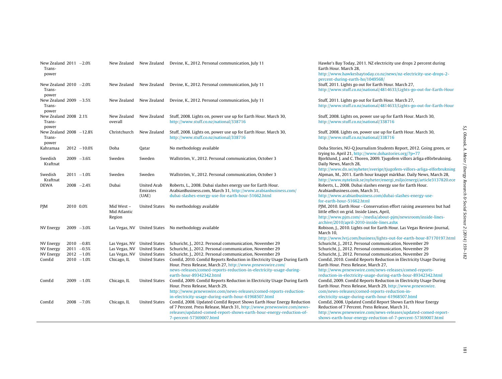| New Zealand $2011 - 2.0%$<br>Trans-<br>power |           |                |                                      |                                | New Zealand New Zealand Devine, K., 2012. Personal communication, July 11                                                                                                                                 | Hawke's Bay Today, 2011. NZ electricity use drops 2 percent during<br>Earth Hour, March 28,<br>http://www.hawkesbaytoday.co.nz/news/nz-electricity-use-drops-2-<br>percent-during-earth-ho/1049568/                   |
|----------------------------------------------|-----------|----------------|--------------------------------------|--------------------------------|-----------------------------------------------------------------------------------------------------------------------------------------------------------------------------------------------------------|-----------------------------------------------------------------------------------------------------------------------------------------------------------------------------------------------------------------------|
| New Zealand $2010 -2.0%$<br>Trans-<br>power  |           |                | New Zealand                          |                                | New Zealand Devine, K., 2012. Personal communication, July 11                                                                                                                                             | Stuff, 2011. Lights go out for Earth Hour. March 27,<br>http://www.stuff.co.nz/national/4814633/Lights-go-out-for-Earth-Hour                                                                                          |
| New Zealand $2009 -3.5%$<br>Trans-<br>power  |           |                | New Zealand                          |                                | New Zealand Devine, K., 2012. Personal communication, July 11                                                                                                                                             | Stuff, 2011. Lights go out for Earth Hour. March 27,<br>http://www.stuff.co.nz/national/4814633/Lights-go-out-for-Earth-Hour                                                                                          |
| New Zealand 2008 2.1%<br>Trans-<br>power     |           |                | New Zealand<br>overall               | New Zealand                    | Stuff, 2008. Lights on, power use up for Earth Hour. March 30,<br>http://www.stuff.co.nz/national/338716                                                                                                  | Stuff, 2008. Lights on, power use up for Earth Hour. March 30,<br>http://www.stuff.co.nz/national/338716                                                                                                              |
| New Zealand 2008 -12.8%<br>Trans-<br>power   |           |                | Christchurch                         | New Zealand                    | Stuff, 2008. Lights on, power use up for Earth Hour. March 30,<br>http://www.stuff.co.nz/national/338716                                                                                                  | Stuff, 2008. Lights on, power use up for Earth Hour. March 30,<br>http://www.stuff.co.nz/national/338716                                                                                                              |
| Kahramaa                                     |           | $2012 - 10.0%$ | Doha                                 | Qatar                          | No methodology available                                                                                                                                                                                  | Doha Stories, NU-Q Journalism Students Report, 2012. Going green, or<br>trying to. April 21, http://www.dohastories.org/?p=77                                                                                         |
| Swedish<br>Kraftnat                          |           | $2009 - 3.6%$  | Sweden                               | Sweden                         | Wallström, V., 2012. Personal communication, October 3                                                                                                                                                    | Bjorklund, J. and C. Thoren, 2009. Tjugofem villors årliga elförbrukning.<br>Daily News, March 28,                                                                                                                    |
| Swedish<br>Kraftnat                          |           | $2011 - 1.0%$  | Sweden                               | Sweden                         | Wallström, V., 2012. Personal communication, October 3                                                                                                                                                    | http://www.dn.se/nyheter/sverige/tjugofem-villors-arliga-elforbrukning<br>Alpman, M., 2011. Earth hour knappt märkbar. Daily News, March 28,<br>http://www.nyteknik.se/nyheter/energi_miljo/energi/article3137820.ece |
| <b>DEWA</b>                                  |           | $2008 - 2.4%$  | Dubai                                | <b>United Arab</b><br>Emirates | Roberts, L., 2008. Dubai slashes energy use for Earth Hour.<br>ArabianBusiness.com, March 31, http://www.arabianbusiness.com/                                                                             | Roberts, L., 2008. Dubai slashes energy use for Earth Hour.<br>ArabianBusiness.com, March 31,                                                                                                                         |
|                                              |           |                |                                      | (UAE)                          | dubai-slashes-energy-use-for-earth-hour-51662.html                                                                                                                                                        | http://www.arabianbusiness.com/dubai-slashes-energy-use-<br>for-earth-hour-51662.html                                                                                                                                 |
| <b>PJM</b>                                   | 2010 0.0% |                | Mid West -<br>Mid Atlantic<br>Region |                                | United States No methodology available                                                                                                                                                                    | PJM, 2010. Earth Hour - Conservation effort raising awareness but had<br>little effect on grid. Inside Lines, April,<br>http://www.pjm.com/~/media/about-pjm/newsroom/inside-lines-                                   |
|                                              |           |                |                                      |                                |                                                                                                                                                                                                           | archive/2010/april-2010-inside-lines.ashx                                                                                                                                                                             |
| NV Energy                                    |           | $2009 - 3.0%$  |                                      |                                | Las Vegas, NV United States No methodology available                                                                                                                                                      | Robison, J., 2010. Lights out for Earth Hour. Las Vegas Review-Journal,<br>March 10.                                                                                                                                  |
| NV Energy                                    |           | $2010 -0.8%$   |                                      | Las Vegas, NV United States    | Schuricht, J., 2012. Personal communication, November 29                                                                                                                                                  | http://www.lvrj.com/business/lights-out-for-earth-hour-87170197.html<br>Schuricht, J., 2012. Personal communication, November 29                                                                                      |
| NV Energy                                    |           | $2011 - 0.5%$  |                                      | Las Vegas, NV United States    | Schuricht, J., 2012. Personal communication, November 29                                                                                                                                                  | Schuricht, J., 2012. Personal communication, November 29                                                                                                                                                              |
| NV Energy                                    |           | $2012 - 1.0%$  | Las Vegas, NV United States          |                                | Schuricht, J., 2012. Personal communication, November 29                                                                                                                                                  | Schuricht, J., 2012. Personal communication, November 29                                                                                                                                                              |
| ComEd                                        |           | $2010 - 1.0%$  | Chicago, IL                          | <b>United States</b>           | ComEd, 2010. ComEd Reports Reduction in Electricity Usage During Earth<br>Hour. Press Release, March 27, http://www.prnewswire.com/<br>news-releases/comed-reports-reduction-in-electricity-usage-during- | ComEd, 2010. ComEd Reports Reduction in Electricity Usage During<br>Earth Hour. Press Release, March 27,<br>http://www.prnewswire.com/news-releases/comed-reports-                                                    |
|                                              |           |                |                                      |                                | earth-hour-89342342.html                                                                                                                                                                                  | reduction-in-electricity-usage-during-earth-hour-89342342.html                                                                                                                                                        |
| ComEd                                        |           | $2009 - 1.0%$  | Chicago, IL                          | <b>United States</b>           | ComEd, 2009. ComEd Reports Reduction in Electricity Usage During Earth<br>Hour. Press Release, March 29,                                                                                                  | ComEd, 2009. ComEd Reports Reduction in Electricity Usage During<br>Earth Hour. Press Release, March 29, http://www.prnewswire.                                                                                       |
|                                              |           |                |                                      |                                | http://www.prnewswire.com/news-releases/comed-reports-reduction-                                                                                                                                          | com/news-releases/comed-reports-reduction-in-                                                                                                                                                                         |
| ComEd                                        |           | $2008 - 7.0%$  | Chicago, IL                          | <b>United States</b>           | in-electricity-usage-during-earth-hour-61968507.html<br>ComEd, 2008. Updated ComEd Report Shows Earth Hour Energy Reduction                                                                               | electricity-usage-during-earth-hour-61968507.html<br>ComEd, 2008. Updated ComEd Report Shows Earth Hour Energy                                                                                                        |
|                                              |           |                |                                      |                                | of 7 Percent. Press Release, March 31, http://www.prnewswire.com/news-                                                                                                                                    | Reduction of 7 Percent. Press Release, March 31,                                                                                                                                                                      |
|                                              |           |                |                                      |                                | releases/updated-comed-report-shows-earth-hour-energy-reduction-of-<br>7-percent-57369007.html                                                                                                            | http://www.prnewswire.com/news-releases/updated-comed-report-<br>shows-earth-hour-energy-reduction-of-7-percent-57369007.html                                                                                         |
|                                              |           |                |                                      |                                |                                                                                                                                                                                                           |                                                                                                                                                                                                                       |